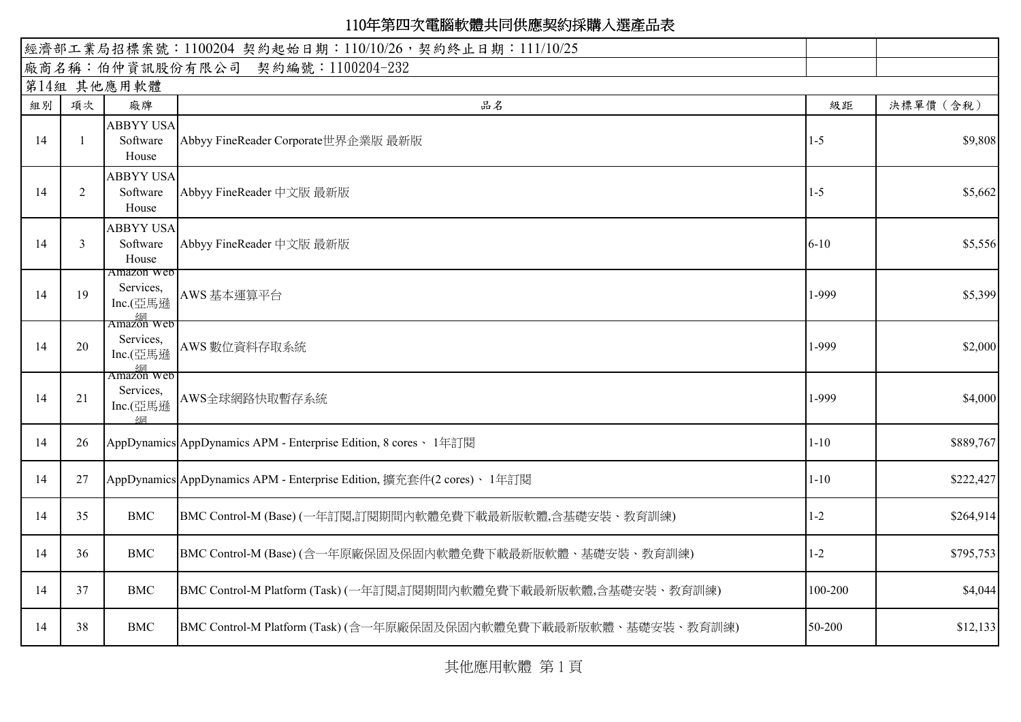| 經濟部工業局招標案號: 1100204 契約起始日期: 110/10/26, 契約終止日期: 111/10/25 |             |                                                                                |                                                                      |          |           |  |  |  |
|----------------------------------------------------------|-------------|--------------------------------------------------------------------------------|----------------------------------------------------------------------|----------|-----------|--|--|--|
|                                                          |             |                                                                                | 廠商名稱:伯仲資訊股份有限公司 契約編號:1100204-232                                     |          |           |  |  |  |
|                                                          | 第14組 其他應用軟體 |                                                                                |                                                                      |          |           |  |  |  |
| 組別                                                       | 項次          | 廠牌                                                                             | 品名                                                                   | 級距       | 決標單價 (含稅) |  |  |  |
|                                                          |             | <b>ABBYY USA</b>                                                               |                                                                      |          |           |  |  |  |
| 14                                                       |             | Software<br>House                                                              | Abbyy FineReader Corporate世界企業版 最新版                                  | $1 - 5$  | \$9,808   |  |  |  |
| 14                                                       | 2           | <b>ABBYY USA</b><br>Software<br>House                                          | Abbyy FineReader 中文版 最新版                                             | $1-5$    | \$5,662   |  |  |  |
|                                                          |             | <b>ABBYY USA</b>                                                               |                                                                      |          |           |  |  |  |
| 14                                                       | 3           | Software<br>House                                                              | Abbyy FineReader 中文版 最新版                                             | $6 - 10$ | \$5,556   |  |  |  |
|                                                          |             | Amazon Web<br>Services,                                                        |                                                                      |          |           |  |  |  |
| 14                                                       | 19          | Inc.(亞馬遜                                                                       | AWS 基本運算平台                                                           | 1-999    | \$5,399   |  |  |  |
| 14                                                       | 20          | $\frac{\frac{\sqrt{M}}{\sqrt{M}}}{\text{Amazon Web}}$<br>Services,<br>Inc.(亞馬遜 | AWS 數位資料存取系統                                                         | 1-999    | \$2,000   |  |  |  |
|                                                          |             | $\frac{\frac{\sqrt{M}}{\sqrt{M}}}{\text{Amaxon web}}$                          |                                                                      |          |           |  |  |  |
| 14                                                       | 21          | Services,<br>Inc.(亞馬遜<br>4网                                                    | AWS全球網路快取暫存系統                                                        | 1-999    | \$4,000   |  |  |  |
| 14                                                       | 26          |                                                                                | AppDynamics AppDynamics APM - Enterprise Edition, 8 cores、 1年訂閱      | $1 - 10$ | \$889,767 |  |  |  |
| 14                                                       | 27          |                                                                                | AppDynamics AppDynamics APM - Enterprise Edition, 擴充套件(2 cores)、1年訂閱 | $1 - 10$ | \$222,427 |  |  |  |
| 14                                                       | 35          | <b>BMC</b>                                                                     | BMC Control-M (Base) (一年訂閱,訂閱期間內軟體免費下載最新版軟體,含基礎安裝、教育訓練)              | $1 - 2$  | \$264,914 |  |  |  |
| 14                                                       | 36          | <b>BMC</b>                                                                     | BMC Control-M (Base) (含一年原廠保固及保固內軟體免費下載最新版軟體、基礎安裝、教育訓練)              | $1 - 2$  | \$795,753 |  |  |  |
| 14                                                       | 37          | <b>BMC</b>                                                                     | BMC Control-M Platform (Task) (一年訂閱,訂閱期間內軟體免費下載最新版軟體,含基礎安裝、教育訓練)     | 100-200  | \$4,044   |  |  |  |
| 14                                                       | 38          | <b>BMC</b>                                                                     | BMC Control-M Platform (Task) (含一年原廠保固及保固內軟體免費下載最新版軟體、基礎安裝、教育訓練)     | 50-200   | \$12,133  |  |  |  |

其他應用軟體 第 1 頁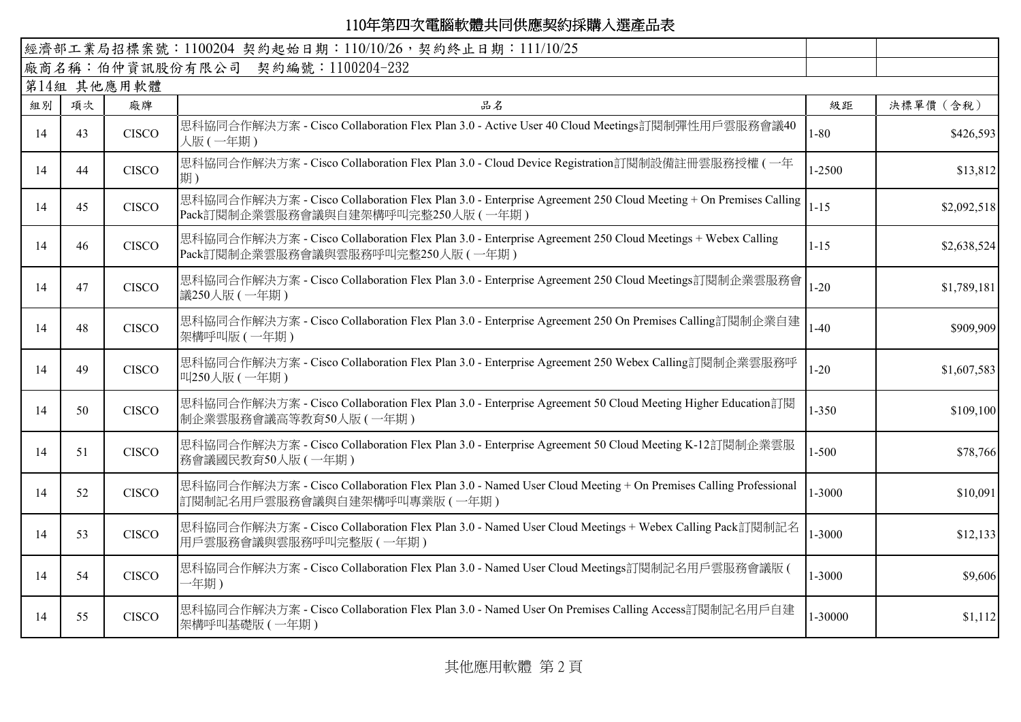|    |             |              | 經濟部工業局招標案號: 1100204 契約起始日期: 110/10/26, 契約終止日期: 111/10/25                                                                                            |            |             |  |  |  |  |  |
|----|-------------|--------------|-----------------------------------------------------------------------------------------------------------------------------------------------------|------------|-------------|--|--|--|--|--|
|    |             |              | 廠商名稱:伯仲資訊股份有限公司 契約編號:1100204-232                                                                                                                    |            |             |  |  |  |  |  |
|    | 第14組 其他應用軟體 |              |                                                                                                                                                     |            |             |  |  |  |  |  |
| 組別 | 項次          | 廠牌           | 品名                                                                                                                                                  | 級距         | 決標單價 (含稅)   |  |  |  |  |  |
| 14 | 43          | <b>CISCO</b> | 思科協同合作解決方案 - Cisco Collaboration Flex Plan 3.0 - Active User 40 Cloud Meetings訂閱制彈性用戶雲服務會議40<br>人版(一年期)                                             | $1 - 80$   | \$426,593   |  |  |  |  |  |
| 14 | 44          | <b>CISCO</b> | 思科協同合作解決方案 - Cisco Collaboration Flex Plan 3.0 - Cloud Device Registration訂閱制設備註冊雲服務授權 (一年<br>期)                                                    | $1 - 2500$ | \$13,812    |  |  |  |  |  |
| 14 | 45          | <b>CISCO</b> | 思科協同合作解決方案 - Cisco Collaboration Flex Plan 3.0 - Enterprise Agreement 250 Cloud Meeting + On Premises Calling<br>Pack訂閱制企業雲服務會議與自建架構呼叫完整250人版 (一年期) | $1 - 15$   | \$2,092,518 |  |  |  |  |  |
| 14 | 46          | <b>CISCO</b> | 思科協同合作解決方案 - Cisco Collaboration Flex Plan 3.0 - Enterprise Agreement 250 Cloud Meetings + Webex Calling<br>Pack訂閱制企業雲服務會議與雲服務呼叫完整250人版 (一年期)       | $1 - 15$   | \$2,638,524 |  |  |  |  |  |
| 14 | 47          | <b>CISCO</b> | 思科協同合作解決方案 - Cisco Collaboration Flex Plan 3.0 - Enterprise Agreement 250 Cloud Meetings訂閱制企業雲服務會<br>議250人版 (一年期)                                   | $1 - 20$   | \$1,789,181 |  |  |  |  |  |
| 14 | 48          | <b>CISCO</b> | 思科協同合作解決方案 - Cisco Collaboration Flex Plan 3.0 - Enterprise Agreement 250 On Premises Calling訂閱制企業自建<br>架構呼叫版 (一年期)                                 | $1-40$     | \$909,909   |  |  |  |  |  |
| 14 | 49          | <b>CISCO</b> | 思科協同合作解決方案 - Cisco Collaboration Flex Plan 3.0 - Enterprise Agreement 250 Webex Calling訂閱制企業雲服務呼<br>叫250人版 (一年期)                                    | $1 - 20$   | \$1,607,583 |  |  |  |  |  |
| 14 | 50          | <b>CISCO</b> | 思科協同合作解決方案 - Cisco Collaboration Flex Plan 3.0 - Enterprise Agreement 50 Cloud Meeting Higher Education訂閱<br>制企業雲服務會議高等教育50人版(一年期)                  | $1 - 350$  | \$109,100   |  |  |  |  |  |
| 14 | 51          | <b>CISCO</b> | 思科協同合作解決方案 - Cisco Collaboration Flex Plan 3.0 - Enterprise Agreement 50 Cloud Meeting K-12訂閱制企業雲服<br>務會議國民教育50人版(一年期)                              | $1 - 500$  | \$78,766    |  |  |  |  |  |
| 14 | 52          | <b>CISCO</b> | 思科協同合作解決方案 - Cisco Collaboration Flex Plan 3.0 - Named User Cloud Meeting + On Premises Calling Professional<br>訂閱制記名用戶雲服務會議與自建架構呼叫專業版 (一年期)        | 1-3000     | \$10,091    |  |  |  |  |  |
| 14 | 53          | <b>CISCO</b> | 思科協同合作解決方案 - Cisco Collaboration Flex Plan 3.0 - Named User Cloud Meetings + Webex Calling Pack訂閱制記名<br>用戶雲服務會議與雲服務呼叫完整版 (一年期)                      | 1-3000     | \$12,133    |  |  |  |  |  |
| 14 | 54          | <b>CISCO</b> | 思科協同合作解決方案 - Cisco Collaboration Flex Plan 3.0 - Named User Cloud Meetings訂閱制記名用戶雲服務會議版 (<br>一年期)                                                   | 1-3000     | \$9,606     |  |  |  |  |  |
| 14 | 55          | <b>CISCO</b> | 思科協同合作解決方案 - Cisco Collaboration Flex Plan 3.0 - Named User On Premises Calling Access訂閱制記名用戶自建<br>架構呼叫基礎版 (一年期)                                    | 1-30000    | \$1,112     |  |  |  |  |  |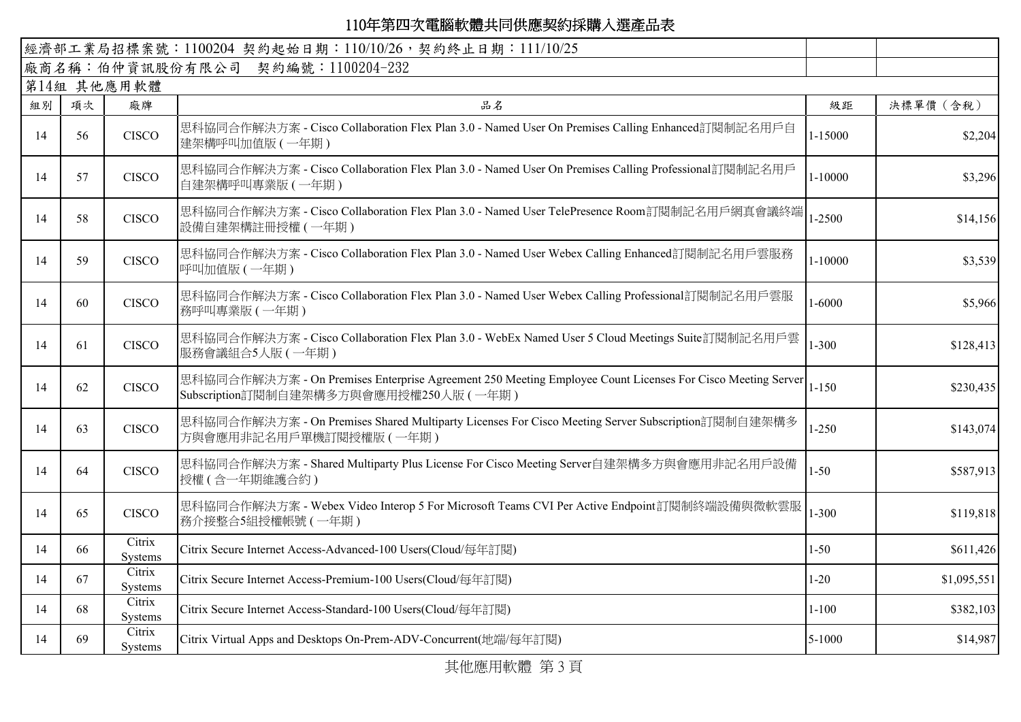|    | 經濟部工業局招標案號: 1100204 契約起始日期: 110/10/26, 契約終止日期: 111/10/25 |                          |                                                                                                                                                      |            |             |  |  |  |  |  |
|----|----------------------------------------------------------|--------------------------|------------------------------------------------------------------------------------------------------------------------------------------------------|------------|-------------|--|--|--|--|--|
|    |                                                          |                          | 廠商名稱:伯仲資訊股份有限公司 契約編號:1100204-232                                                                                                                     |            |             |  |  |  |  |  |
|    | 第14組 其他應用軟體                                              |                          |                                                                                                                                                      |            |             |  |  |  |  |  |
| 組別 | 項次                                                       | 廠牌                       | 品名                                                                                                                                                   | 級距         | 決標單價 (含稅)   |  |  |  |  |  |
| 14 | 56                                                       | <b>CISCO</b>             | 思科協同合作解決方案 - Cisco Collaboration Flex Plan 3.0 - Named User On Premises Calling Enhanced訂閱制記名用戶自<br>建架構呼叫加值版 (一年期)                                   | 1-15000    | \$2,204     |  |  |  |  |  |
| 14 | 57                                                       | <b>CISCO</b>             | 思科協同合作解決方案 - Cisco Collaboration Flex Plan 3.0 - Named User On Premises Calling Professional訂閱制記名用戶<br>自建架構呼叫專業版 (一年期)                               | 1-10000    | \$3,296     |  |  |  |  |  |
| 14 | 58                                                       | <b>CISCO</b>             | 思科協同合作解決方案 - Cisco Collaboration Flex Plan 3.0 - Named User TelePresence Room訂閱制記名用戶網真會議終端<br>設備自建架構註冊授權(一年期)                                        | 1-2500     | \$14,156    |  |  |  |  |  |
| 14 | 59                                                       | <b>CISCO</b>             | 思科協同合作解決方案 - Cisco Collaboration Flex Plan 3.0 - Named User Webex Calling Enhanced訂閱制記名用戶雲服務<br>呼叫加值版 (一年期)                                          | 1-10000    | \$3,539     |  |  |  |  |  |
| 14 | 60                                                       | <b>CISCO</b>             | 思科協同合作解決方案 - Cisco Collaboration Flex Plan 3.0 - Named User Webex Calling Professional訂閱制記名用戶雲服<br>務呼叫專業版 (一年期)                                      | 1-6000     | \$5,966     |  |  |  |  |  |
| 14 | 61                                                       | <b>CISCO</b>             | 思科協同合作解決方案 - Cisco Collaboration Flex Plan 3.0 - WebEx Named User 5 Cloud Meetings Suite訂閱制記名用戶雲<br>服務會議組合5人版(一年期)                                   | $1 - 300$  | \$128,413   |  |  |  |  |  |
| 14 | 62                                                       | <b>CISCO</b>             | 思科協同合作解決方案 - On Premises Enterprise Agreement 250 Meeting Employee Count Licenses For Cisco Meeting Server<br>Subscription訂閱制自建架構多方與會應用授權250人版 (一年期) | $1 - 150$  | \$230,435   |  |  |  |  |  |
| 14 | 63                                                       | <b>CISCO</b>             | 思科協同合作解決方案 - On Premises Shared Multiparty Licenses For Cisco Meeting Server Subscription訂閱制自建架構多<br>方與會應用非記名用戶單機訂閱授權版 (一年期)                         | $1 - 250$  | \$143,074   |  |  |  |  |  |
| 14 | 64                                                       | <b>CISCO</b>             | 思科協同合作解決方案 - Shared Multiparty Plus License For Cisco Meeting Server自建架構多方與會應用非記名用戶設備<br>授權(含一年期維護合約)                                                | $1 - 50$   | \$587,913   |  |  |  |  |  |
| 14 | 65                                                       | <b>CISCO</b>             | 思科協同合作解決方案 - Webex Video Interop 5 For Microsoft Teams CVI Per Active Endpoint訂閱制終端設備與微軟雲服<br>務介接整合5組授權帳號(一年期)                                       | $1 - 300$  | \$119,818   |  |  |  |  |  |
| 14 | 66                                                       | Citrix<br>Systems        | Citrix Secure Internet Access-Advanced-100 Users(Cloud/每年訂閱)                                                                                         | $1 - 50$   | \$611,426   |  |  |  |  |  |
| 14 | 67                                                       | Citrix<br>Systems        | Citrix Secure Internet Access-Premium-100 Users(Cloud/每年訂閱)                                                                                          | $1 - 20$   | \$1,095,551 |  |  |  |  |  |
| 14 | 68                                                       | Citrix<br><b>Systems</b> | Citrix Secure Internet Access-Standard-100 Users(Cloud/每年訂閱)                                                                                         | $1 - 100$  | \$382,103   |  |  |  |  |  |
| 14 | 69                                                       | Citrix<br><b>Systems</b> | Citrix Virtual Apps and Desktops On-Prem-ADV-Concurrent(地端/每年訂閱)                                                                                     | $5 - 1000$ | \$14,987    |  |  |  |  |  |

其他應用軟體 第 3 頁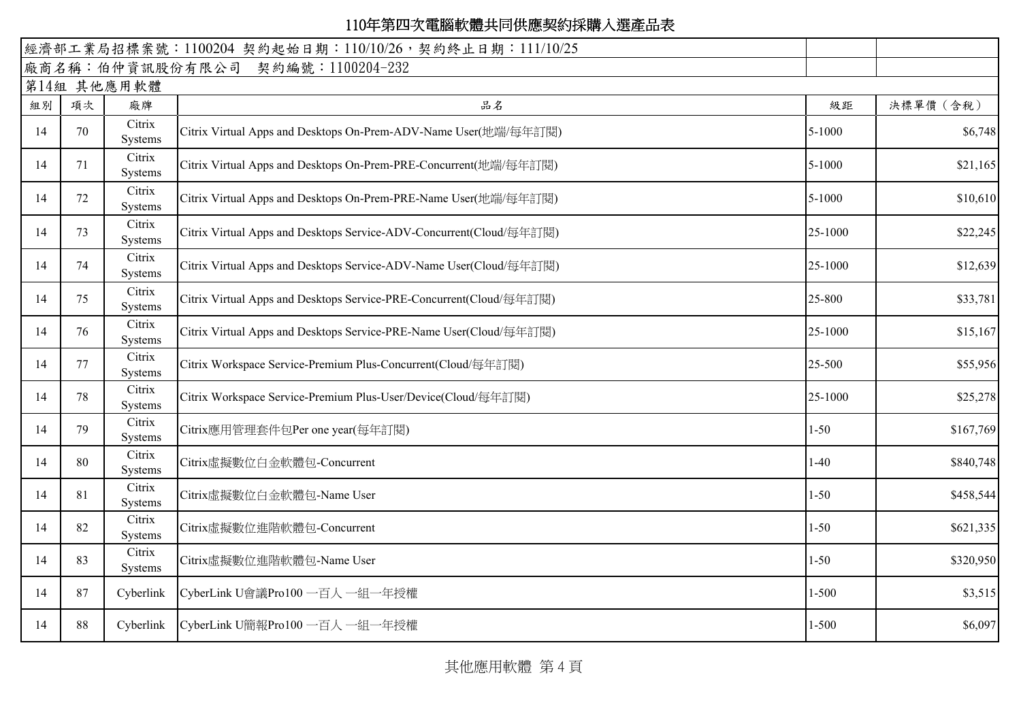|    |    |                   | 經濟部工業局招標案號: 1100204 契約起始日期: 110/10/26, 契約終止日期: 111/10/25            |            |           |
|----|----|-------------------|---------------------------------------------------------------------|------------|-----------|
|    |    |                   | 廠商名稱:伯仲資訊股份有限公司 契約編號:1100204-232                                    |            |           |
|    |    | 第14組 其他應用軟體       |                                                                     |            |           |
| 組別 | 項次 | 廠牌                | 品名                                                                  | 級距         | 決標單價 (含稅) |
| 14 | 70 | Citrix<br>Systems | Citrix Virtual Apps and Desktops On-Prem-ADV-Name User(地端/每年訂閱)     | $5 - 1000$ | \$6,748   |
| 14 | 71 | Citrix<br>Systems | Citrix Virtual Apps and Desktops On-Prem-PRE-Concurrent(地端/每年訂閱)    | $5 - 1000$ | \$21,165  |
| 14 | 72 | Citrix<br>Systems | Citrix Virtual Apps and Desktops On-Prem-PRE-Name User(地端/每年訂閱)     | 5-1000     | \$10,610  |
| 14 | 73 | Citrix<br>Systems | Citrix Virtual Apps and Desktops Service-ADV-Concurrent(Cloud/每年訂閱) | 25-1000    | \$22,245  |
| 14 | 74 | Citrix<br>Systems | Citrix Virtual Apps and Desktops Service-ADV-Name User(Cloud/每年訂閱)  | 25-1000    | \$12,639  |
| 14 | 75 | Citrix<br>Systems | Citrix Virtual Apps and Desktops Service-PRE-Concurrent(Cloud/每年訂閱) | 25-800     | \$33,781  |
| 14 | 76 | Citrix<br>Systems | Citrix Virtual Apps and Desktops Service-PRE-Name User(Cloud/每年訂閱)  | 25-1000    | \$15,167  |
| 14 | 77 | Citrix<br>Systems | Citrix Workspace Service-Premium Plus-Concurrent(Cloud/每年訂閱)        | 25-500     | \$55,956  |
| 14 | 78 | Citrix<br>Systems | Citrix Workspace Service-Premium Plus-User/Device(Cloud/每年訂閱)       | 25-1000    | \$25,278  |
| 14 | 79 | Citrix<br>Systems | Citrix應用管理套件包Per one year(每年訂閱)                                     | $1 - 50$   | \$167,769 |
| 14 | 80 | Citrix<br>Systems | Citrix虛擬數位白金軟體包-Concurrent                                          | $1-40$     | \$840,748 |
| 14 | 81 | Citrix<br>Systems | Citrix虛擬數位白金軟體包-Name User                                           | $1 - 50$   | \$458,544 |
| 14 | 82 | Citrix<br>Systems | Citrix虛擬數位進階軟體包-Concurrent                                          | $1 - 50$   | \$621,335 |
| 14 | 83 | Citrix<br>Systems | Citrix虛擬數位進階軟體包-Name User                                           | $1 - 50$   | \$320,950 |
| 14 | 87 | Cyberlink         | CyberLink U會議Pro100 一百人 一組一年授權                                      | $1 - 500$  | \$3,515   |
| 14 | 88 |                   | Cyberlink CyberLink U簡報Pro100 一百人 一組一年授權                            | $1 - 500$  | \$6,097   |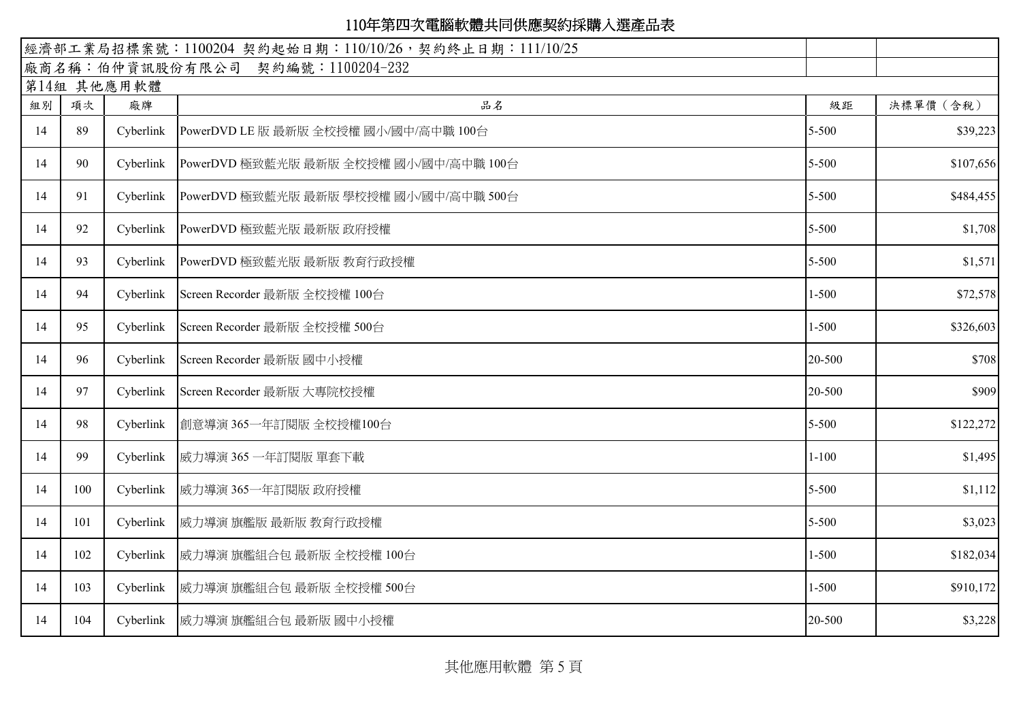|    |             |           | 經濟部工業局招標案號: 1100204 契約起始日期: 110/10/26, 契約終止日期: 111/10/25 |           |           |  |  |  |  |  |
|----|-------------|-----------|----------------------------------------------------------|-----------|-----------|--|--|--|--|--|
|    |             |           | 廠商名稱:伯仲資訊股份有限公司 契約編號:1100204-232                         |           |           |  |  |  |  |  |
|    | 第14組 其他應用軟體 |           |                                                          |           |           |  |  |  |  |  |
| 組別 | 項次          | 廠牌        | 品名                                                       | 級距        | 決標單價 (含稅) |  |  |  |  |  |
| 14 | 89          | Cyberlink | PowerDVD LE 版 最新版 全校授權 國小/國中/高中職 100台                    | 5-500     | \$39,223  |  |  |  |  |  |
| 14 | 90          |           | Cyberlink PowerDVD 極致藍光版 最新版 全校授權 國小/國中/高中職 100台         | 5-500     | \$107,656 |  |  |  |  |  |
| 14 | 91          |           | Cyberlink PowerDVD 極致藍光版 最新版 學校授權 國小/國中/高中職 500台         | 5-500     | \$484,455 |  |  |  |  |  |
| 14 | 92          | Cyberlink | PowerDVD 極致藍光版 最新版 政府授權                                  | 5-500     | \$1,708   |  |  |  |  |  |
| 14 | 93          | Cyberlink | PowerDVD 極致藍光版 最新版 教育行政授權                                | 5-500     | \$1,571   |  |  |  |  |  |
| 14 | 94          | Cyberlink | Screen Recorder 最新版 全校授權 100台                            | $1 - 500$ | \$72,578  |  |  |  |  |  |
| 14 | 95          | Cyberlink | Screen Recorder 最新版 全校授權 500台                            | $1 - 500$ | \$326,603 |  |  |  |  |  |
| 14 | 96          | Cyberlink | Screen Recorder 最新版 國中小授權                                | 20-500    | \$708     |  |  |  |  |  |
| 14 | 97          | Cyberlink | Screen Recorder 最新版 大專院校授權                               | 20-500    | \$909     |  |  |  |  |  |
| 14 | 98          | Cyberlink | 創意導演 365一年訂閱版 全校授權100台                                   | 5-500     | \$122,272 |  |  |  |  |  |
| 14 | 99          | Cyberlink | 威力導演 365 一年訂閱版 單套下載                                      | $1 - 100$ | \$1,495   |  |  |  |  |  |
| 14 | 100         | Cyberlink | 威力導演 365一年訂閱版 政府授權                                       | 5-500     | \$1,112   |  |  |  |  |  |
| 14 | 101         | Cyberlink | 威力導演 旗艦版 最新版 教育行政授權                                      | 5-500     | \$3,023   |  |  |  |  |  |
| 14 | 102         | Cyberlink | 威力導演 旗艦組合包 最新版 全校授權 100台                                 | $1 - 500$ | \$182,034 |  |  |  |  |  |
| 14 | 103         |           | Cyberlink  威力導演 旗艦組合包 最新版 全校授權 500台                      | $1 - 500$ | \$910,172 |  |  |  |  |  |
| 14 | 104         |           | Cyberlink   威力導演 旗艦組合包 最新版 國中小授權                         | 20-500    | \$3,228   |  |  |  |  |  |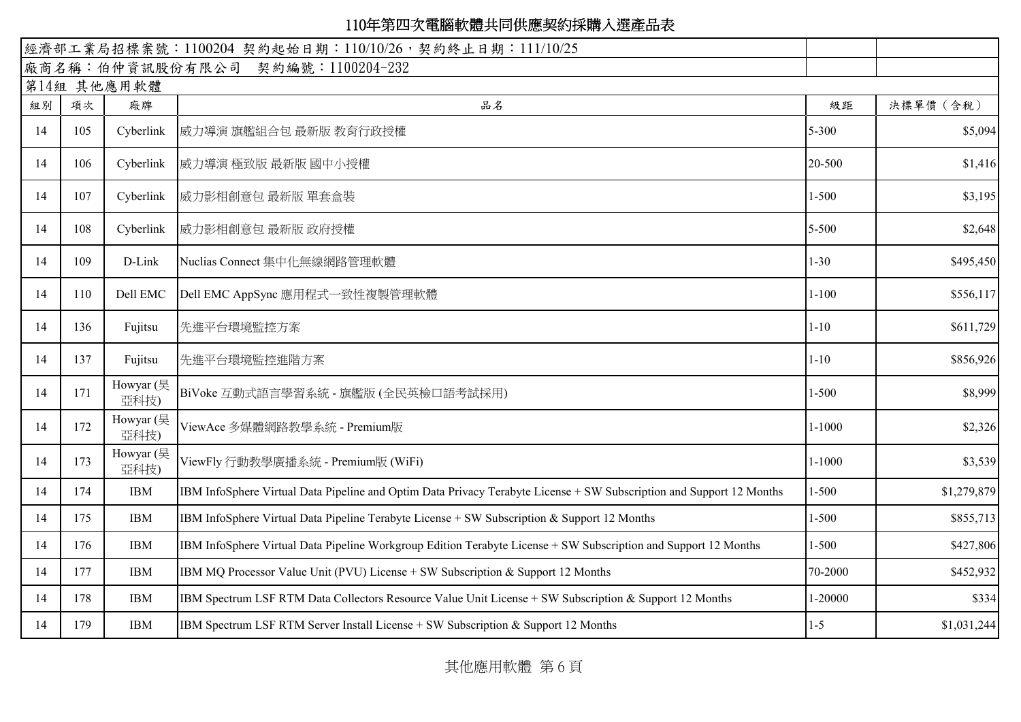|    | 經濟部工業局招標案號:1100204 契約起始日期:110/10/26,契約終止日期:111/10/25 |                   |                                                                                                                      |            |             |  |  |  |  |  |
|----|------------------------------------------------------|-------------------|----------------------------------------------------------------------------------------------------------------------|------------|-------------|--|--|--|--|--|
|    |                                                      |                   | 廠商名稱:伯仲資訊股份有限公司 契約編號:1100204-232                                                                                     |            |             |  |  |  |  |  |
|    | 第14組 其他應用軟體                                          |                   |                                                                                                                      |            |             |  |  |  |  |  |
| 組別 | 項次                                                   | 廠牌                | 品名                                                                                                                   | 級距         | 決標單價 (含稅)   |  |  |  |  |  |
| 14 | 105                                                  | Cyberlink         | 威力導演 旗艦組合包 最新版 教育行政授權                                                                                                | 5-300      | \$5,094     |  |  |  |  |  |
| 14 | 106                                                  | Cyberlink         | 威力導演 極致版 最新版 國中小授權                                                                                                   | 20-500     | \$1,416     |  |  |  |  |  |
| 14 | 107                                                  | Cyberlink         | 威力影相創意包 最新版 單套盒裝                                                                                                     | $1 - 500$  | \$3,195     |  |  |  |  |  |
| 14 | 108                                                  | Cyberlink         | 威力影相創意包 最新版 政府授權                                                                                                     | 5-500      | \$2,648     |  |  |  |  |  |
| 14 | 109                                                  | D-Link            | Nuclias Connect 集中化無線網路管理軟體                                                                                          | $1 - 30$   | \$495,450   |  |  |  |  |  |
| 14 | 110                                                  | Dell EMC          | Dell EMC AppSync 應用程式一致性複製管理軟體                                                                                       | $1 - 100$  | \$556,117   |  |  |  |  |  |
| 14 | 136                                                  | Fujitsu           | 先進平台環境監控方案                                                                                                           | $1 - 10$   | \$611,729   |  |  |  |  |  |
| 14 | 137                                                  | Fujitsu           | 先進平台環境監控進階方案                                                                                                         | $1 - 10$   | \$856,926   |  |  |  |  |  |
| 14 | 171                                                  | Howyar (昊<br>亞科技) | BiVoke 互動式語言學習系統 - 旗艦版 (全民英檢口語考試採用)                                                                                  | $1 - 500$  | \$8,999     |  |  |  |  |  |
| 14 | 172                                                  | Howyar (昊<br>亞科技) | ViewAce 多媒體網路教學系統 - Premium版                                                                                         | $1 - 1000$ | \$2,326     |  |  |  |  |  |
| 14 | 173                                                  | Howyar (昊<br>亞科技) | ViewFly 行動教學廣播系統 - Premium版 (WiFi)                                                                                   | $1 - 1000$ | \$3,539     |  |  |  |  |  |
| 14 | 174                                                  | <b>IBM</b>        | IBM InfoSphere Virtual Data Pipeline and Optim Data Privacy Terabyte License + SW Subscription and Support 12 Months | $1 - 500$  | \$1,279,879 |  |  |  |  |  |
| 14 | 175                                                  | <b>IBM</b>        | IBM InfoSphere Virtual Data Pipeline Terabyte License + SW Subscription & Support 12 Months                          | $1 - 500$  | \$855,713   |  |  |  |  |  |
| 14 | 176                                                  | <b>IBM</b>        | IBM InfoSphere Virtual Data Pipeline Workgroup Edition Terabyte License + SW Subscription and Support 12 Months      | $1 - 500$  | \$427,806   |  |  |  |  |  |
| 14 | 177                                                  | <b>IBM</b>        | IBM MQ Processor Value Unit (PVU) License + SW Subscription & Support 12 Months                                      | 70-2000    | \$452,932   |  |  |  |  |  |
| 14 | 178                                                  | <b>IBM</b>        | IBM Spectrum LSF RTM Data Collectors Resource Value Unit License + SW Subscription & Support 12 Months               | 1-20000    | \$334       |  |  |  |  |  |
| 14 | 179                                                  | <b>IBM</b>        | IBM Spectrum LSF RTM Server Install License + SW Subscription & Support 12 Months                                    | $1 - 5$    | \$1,031,244 |  |  |  |  |  |

其他應用軟體 第 6 頁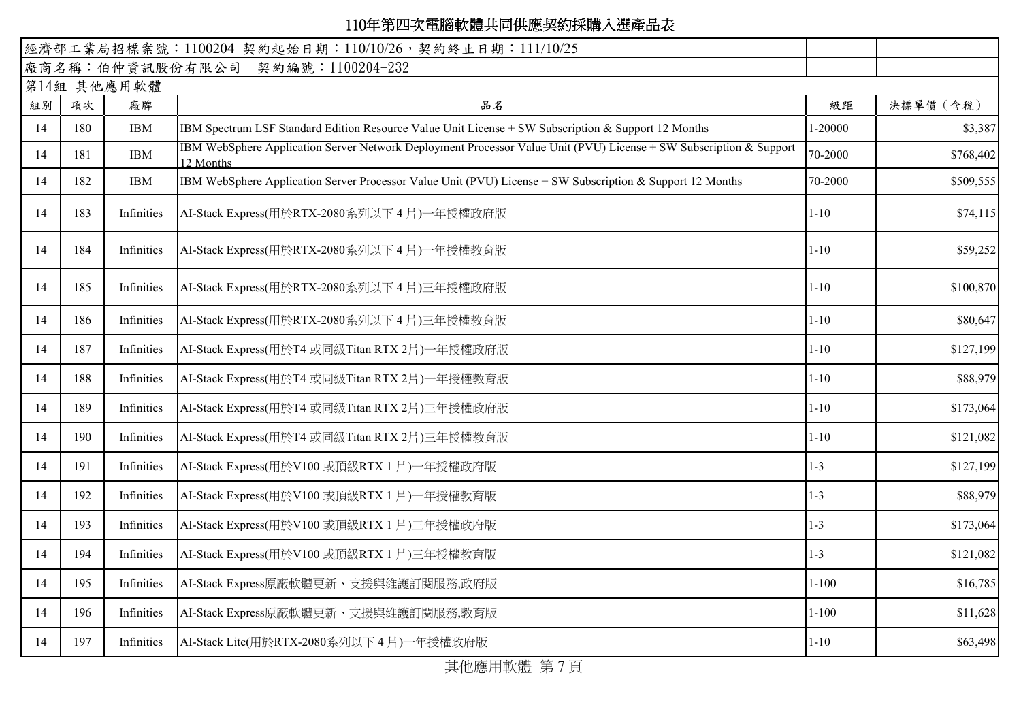| 經濟部工業局招標案號: 1100204 契約起始日期: 110/10/26, 契約終止日期: 111/10/25 |     |            |                                                                                                                                 |           |           |  |  |  |
|----------------------------------------------------------|-----|------------|---------------------------------------------------------------------------------------------------------------------------------|-----------|-----------|--|--|--|
|                                                          |     |            | 廠商名稱:伯仲資訊股份有限公司 契約編號:1100204-232                                                                                                |           |           |  |  |  |
| 第14組 其他應用軟體                                              |     |            |                                                                                                                                 |           |           |  |  |  |
| 組別                                                       | 項次  | 廠牌         | 品名                                                                                                                              | 級距        | 決標單價 (含稅) |  |  |  |
| 14                                                       | 180 | <b>IBM</b> | IBM Spectrum LSF Standard Edition Resource Value Unit License + SW Subscription & Support 12 Months                             | 1-20000   | \$3,387   |  |  |  |
| 14                                                       | 181 | <b>IBM</b> | IBM WebSphere Application Server Network Deployment Processor Value Unit (PVU) License + SW Subscription & Support<br>12 Months | 70-2000   | \$768,402 |  |  |  |
| 14                                                       | 182 | <b>IBM</b> | IBM WebSphere Application Server Processor Value Unit (PVU) License + SW Subscription & Support 12 Months                       | 70-2000   | \$509,555 |  |  |  |
| 14                                                       | 183 | Infinities | AI-Stack Express(用於RTX-2080系列以下4月)一年授權政府版                                                                                       | $1 - 10$  | \$74,115  |  |  |  |
| 14                                                       | 184 | Infinities | AI-Stack Express(用於RTX-2080系列以下4片)一年授權教育版                                                                                       | $1 - 10$  | \$59,252  |  |  |  |
| 14                                                       | 185 | Infinities | AI-Stack Express(用於RTX-2080系列以下4月)三年授權政府版                                                                                       | $1 - 10$  | \$100,870 |  |  |  |
| 14                                                       | 186 | Infinities | AI-Stack Express(用於RTX-2080系列以下4月)三年授權教育版                                                                                       | $1 - 10$  | \$80,647  |  |  |  |
| 14                                                       | 187 | Infinities | AI-Stack Express(用於T4 或同級Titan RTX 2片)一年授權政府版                                                                                   | $1 - 10$  | \$127,199 |  |  |  |
| 14                                                       | 188 | Infinities | AI-Stack Express(用於T4 或同級Titan RTX 2月)一年授權教育版                                                                                   | $1 - 10$  | \$88,979  |  |  |  |
| 14                                                       | 189 | Infinities | AI-Stack Express(用於T4 或同級Titan RTX 2月)三年授權政府版                                                                                   | $1 - 10$  | \$173,064 |  |  |  |
| 14                                                       | 190 | Infinities | AI-Stack Express(用於T4 或同級Titan RTX 2片)三年授權教育版                                                                                   | $1 - 10$  | \$121,082 |  |  |  |
| 14                                                       | 191 | Infinities | AI-Stack Express(用於V100 或頂級RTX 1 片)一年授權政府版                                                                                      | $1 - 3$   | \$127,199 |  |  |  |
| 14                                                       | 192 | Infinities | AI-Stack Express(用於V100 或頂級RTX 1 片)一年授權教育版                                                                                      | $1 - 3$   | \$88,979  |  |  |  |
| 14                                                       | 193 | Infinities | AI-Stack Express(用於V100 或頂級RTX 1 片)三年授權政府版                                                                                      | $1 - 3$   | \$173,064 |  |  |  |
| 14                                                       | 194 | Infinities | AI-Stack Express(用於V100 或頂級RTX 1 片)三年授權教育版                                                                                      | $1 - 3$   | \$121,082 |  |  |  |
| 14                                                       | 195 | Infinities | AI-Stack Express原廠軟體更新、支援與維護訂閱服務,政府版                                                                                            | $1 - 100$ | \$16,785  |  |  |  |
| 14                                                       | 196 | Infinities | AI-Stack Express原廠軟體更新、支援與維護訂閱服務,教育版                                                                                            | $1 - 100$ | \$11,628  |  |  |  |
| 14                                                       | 197 | Infinities | AI-Stack Lite(用於RTX-2080系列以下4片)一年授權政府版                                                                                          | $1 - 10$  | \$63,498  |  |  |  |

其他應用軟體 第7頁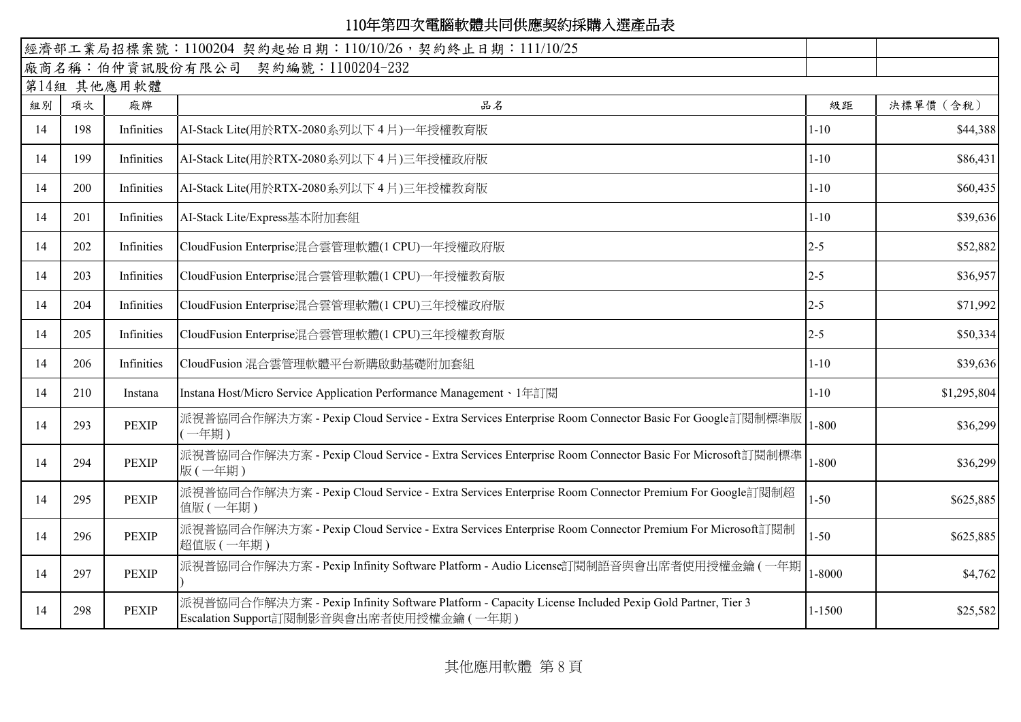|    |             |              | 經濟部工業局招標案號: 1100204 契約起始日期: 110/10/26, 契約終止日期: 111/10/25                                                                                          |            |             |  |  |  |  |  |
|----|-------------|--------------|---------------------------------------------------------------------------------------------------------------------------------------------------|------------|-------------|--|--|--|--|--|
|    |             |              | 廠商名稱:伯仲資訊股份有限公司 契約編號:1100204-232                                                                                                                  |            |             |  |  |  |  |  |
|    | 第14組 其他應用軟體 |              |                                                                                                                                                   |            |             |  |  |  |  |  |
| 組別 | 項次          | 廠牌           | 品名                                                                                                                                                | 級距         | 決標單價 (含稅)   |  |  |  |  |  |
| 14 | 198         | Infinities   | AI-Stack Lite(用於RTX-2080系列以下4片)一年授權教育版                                                                                                            | $1 - 10$   | \$44,388    |  |  |  |  |  |
| 14 | 199         | Infinities   | AI-Stack Lite(用於RTX-2080系列以下 4 片)三年授權政府版                                                                                                          | $1 - 10$   | \$86,431    |  |  |  |  |  |
| 14 | 200         | Infinities   | AI-Stack Lite(用於RTX-2080系列以下4月)三年授權教育版                                                                                                            | $1 - 10$   | \$60,435    |  |  |  |  |  |
| 14 | 201         | Infinities   | AI-Stack Lite/Express基本附加套組                                                                                                                       | $1 - 10$   | \$39,636    |  |  |  |  |  |
| 14 | 202         | Infinities   | CloudFusion Enterprise混合雲管理軟體(1 CPU)一年授權政府版                                                                                                       | $2 - 5$    | \$52,882    |  |  |  |  |  |
| 14 | 203         | Infinities   | CloudFusion Enterprise混合雲管理軟體(1 CPU)一年授權教育版                                                                                                       | $2 - 5$    | \$36,957    |  |  |  |  |  |
| 14 | 204         | Infinities   | CloudFusion Enterprise混合雲管理軟體(1 CPU)三年授權政府版                                                                                                       | $2 - 5$    | \$71,992    |  |  |  |  |  |
| 14 | 205         | Infinities   | CloudFusion Enterprise混合雲管理軟體(1 CPU)三年授權教育版                                                                                                       | $2 - 5$    | \$50,334    |  |  |  |  |  |
| 14 | 206         | Infinities   | CloudFusion 混合雲管理軟體平台新購啟動基礎附加套組                                                                                                                   | $1 - 10$   | \$39,636    |  |  |  |  |  |
| 14 | 210         | Instana      | Instana Host/Micro Service Application Performance Management、1年訂閱                                                                                | $1 - 10$   | \$1,295,804 |  |  |  |  |  |
| 14 | 293         | <b>PEXIP</b> | 派視普協同合作解決方案 - Pexip Cloud Service - Extra Services Enterprise Room Connector Basic For Google訂閱制標準版<br>(一年期)                                      | $1 - 800$  | \$36,299    |  |  |  |  |  |
| 14 | 294         | <b>PEXIP</b> | 派視普協同合作解決方案 - Pexip Cloud Service - Extra Services Enterprise Room Connector Basic For Microsoft訂閱制標準<br>版(一年期)                                   | $1 - 800$  | \$36,299    |  |  |  |  |  |
| 14 | 295         | <b>PEXIP</b> | 派視普協同合作解決方案 - Pexip Cloud Service - Extra Services Enterprise Room Connector Premium For Google訂閱制超<br>值版(一年期)                                    | $1 - 50$   | \$625,885   |  |  |  |  |  |
| 14 | 296         | <b>PEXIP</b> | 派視普協同合作解決方案 - Pexip Cloud Service - Extra Services Enterprise Room Connector Premium For Microsoft訂閱制<br>超值版 (一年期)                                | $1 - 50$   | \$625,885   |  |  |  |  |  |
| 14 | 297         | <b>PEXIP</b> | 派視普協同合作解決方案 - Pexip Infinity Software Platform - Audio License訂閱制語音與會出席者使用授權金鑰 (一年期                                                               | $1 - 8000$ | \$4,762     |  |  |  |  |  |
| 14 | 298         | <b>PEXIP</b> | 派視普協同合作解決方案 - Pexip Infinity Software Platform - Capacity License Included Pexip Gold Partner, Tier 3<br>Escalation Support訂閱制影音與會出席者使用授權金鑰 (一年期) | 1-1500     | \$25,582    |  |  |  |  |  |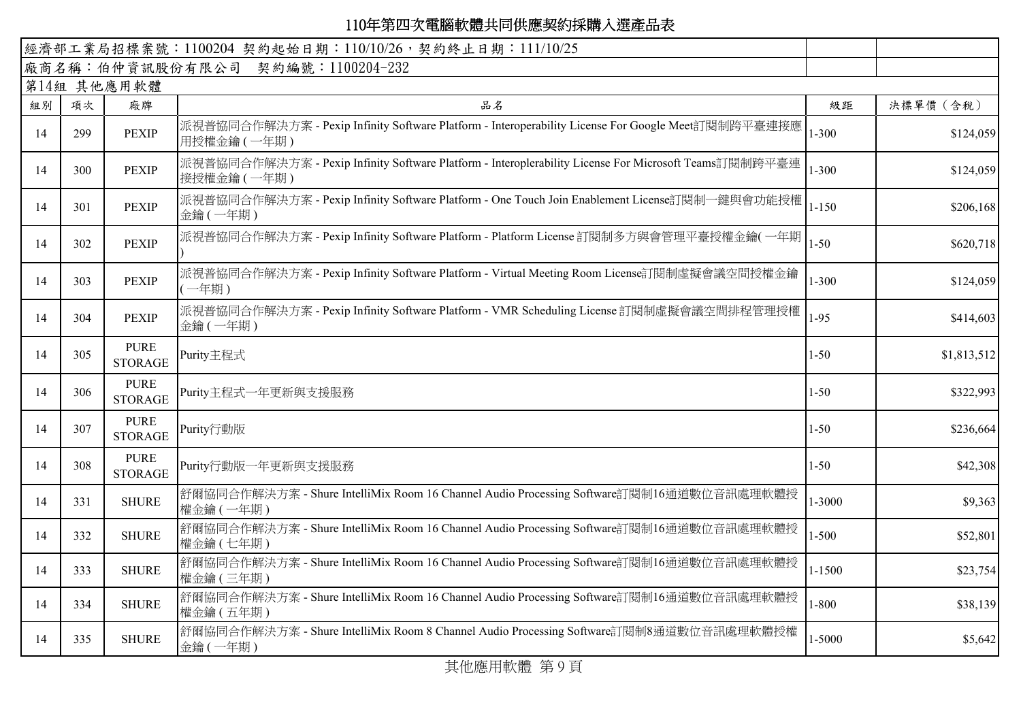|    |             |                               | 經濟部工業局招標案號: 1100204 契約起始日期: 110/10/26, 契約終止日期: 111/10/25                                                             |           |             |  |  |  |  |  |
|----|-------------|-------------------------------|----------------------------------------------------------------------------------------------------------------------|-----------|-------------|--|--|--|--|--|
|    |             |                               | 廠商名稱:伯仲資訊股份有限公司 契約編號:1100204-232                                                                                     |           |             |  |  |  |  |  |
|    | 第14組 其他應用軟體 |                               |                                                                                                                      |           |             |  |  |  |  |  |
| 組別 | 項次          | 廠牌                            | 品名                                                                                                                   | 級距        | 決標單價 (含稅)   |  |  |  |  |  |
| 14 | 299         | <b>PEXIP</b>                  | 派視普協同合作解決方案 - Pexip Infinity Software Platform - Interoperability License For Google Meet訂閱制跨平臺連接應<br>用授權金鑰 (一年期)    | $1 - 300$ | \$124,059   |  |  |  |  |  |
| 14 | 300         | <b>PEXIP</b>                  | 派視普協同合作解決方案 - Pexip Infinity Software Platform - Interoplerability License For Microsoft Teams訂閱制跨平臺連<br>接授權金鑰 (一年期) | $1 - 300$ | \$124,059   |  |  |  |  |  |
| 14 | 301         | <b>PEXIP</b>                  | 派視普協同合作解決方案 - Pexip Infinity Software Platform - One Touch Join Enablement License訂閱制一鍵與會功能授權<br>金鑰(一年期)             | $1 - 150$ | \$206,168   |  |  |  |  |  |
| 14 | 302         | <b>PEXIP</b>                  | 派視普協同合作解決方案 - Pexip Infinity Software Platform - Platform License 訂閱制多方與會管理平臺授權金鑰(一年期                                | $1 - 50$  | \$620,718   |  |  |  |  |  |
| 14 | 303         | <b>PEXIP</b>                  | 派視普協同合作解決方案 - Pexip Infinity Software Platform - Virtual Meeting Room License訂閱制虛擬會議空間授權金鑰<br>(一年期)                  | $1 - 300$ | \$124,059   |  |  |  |  |  |
| 14 | 304         | <b>PEXIP</b>                  | 派視普協同合作解決方案 - Pexip Infinity Software Platform - VMR Scheduling License 訂閱制虛擬會議空間排程管理授權<br>金鑰 (一年期)                  | $1 - 95$  | \$414,603   |  |  |  |  |  |
| 14 | 305         | <b>PURE</b><br><b>STORAGE</b> | Purity主程式                                                                                                            | $1 - 50$  | \$1,813,512 |  |  |  |  |  |
| 14 | 306         | <b>PURE</b><br><b>STORAGE</b> | Purity主程式一年更新與支援服務                                                                                                   | $1 - 50$  | \$322,993   |  |  |  |  |  |
| 14 | 307         | <b>PURE</b><br><b>STORAGE</b> | Purity行動版                                                                                                            | $1 - 50$  | \$236,664   |  |  |  |  |  |
| 14 | 308         | <b>PURE</b><br><b>STORAGE</b> | Purity行動版一年更新與支援服務                                                                                                   | $1 - 50$  | \$42,308    |  |  |  |  |  |
| 14 | 331         | <b>SHURE</b>                  | 舒爾協同合作解決方案 - Shure IntelliMix Room 16 Channel Audio Processing Software訂閱制16通道數位音訊處理軟體授<br>權金鑰 (一年期)                 | 1-3000    | \$9,363     |  |  |  |  |  |
| 14 | 332         | <b>SHURE</b>                  | 舒爾協同合作解決方案 - Shure IntelliMix Room 16 Channel Audio Processing Software訂閱制16通道數位音訊處理軟體授<br>權金鑰 (七年期)                 | $1 - 500$ | \$52,801    |  |  |  |  |  |
| 14 | 333         | <b>SHURE</b>                  | 舒爾協同合作解決方案 - Shure IntelliMix Room 16 Channel Audio Processing Software訂閱制16通道數位音訊處理軟體授<br>權金鑰 (三年期)                 | 1-1500    | \$23,754    |  |  |  |  |  |
| 14 | 334         | <b>SHURE</b>                  | 舒爾協同合作解決方案 - Shure IntelliMix Room 16 Channel Audio Processing Software訂閱制16通道數位音訊處理軟體授<br>權金鑰 (五年期)                 | $1 - 800$ | \$38,139    |  |  |  |  |  |
| 14 | 335         | <b>SHURE</b>                  | 舒爾協同合作解決方案 - Shure IntelliMix Room 8 Channel Audio Processing Software訂閱制8通道數位音訊處理軟體授權<br>金鑰(一年期)                    | 1-5000    | \$5,642     |  |  |  |  |  |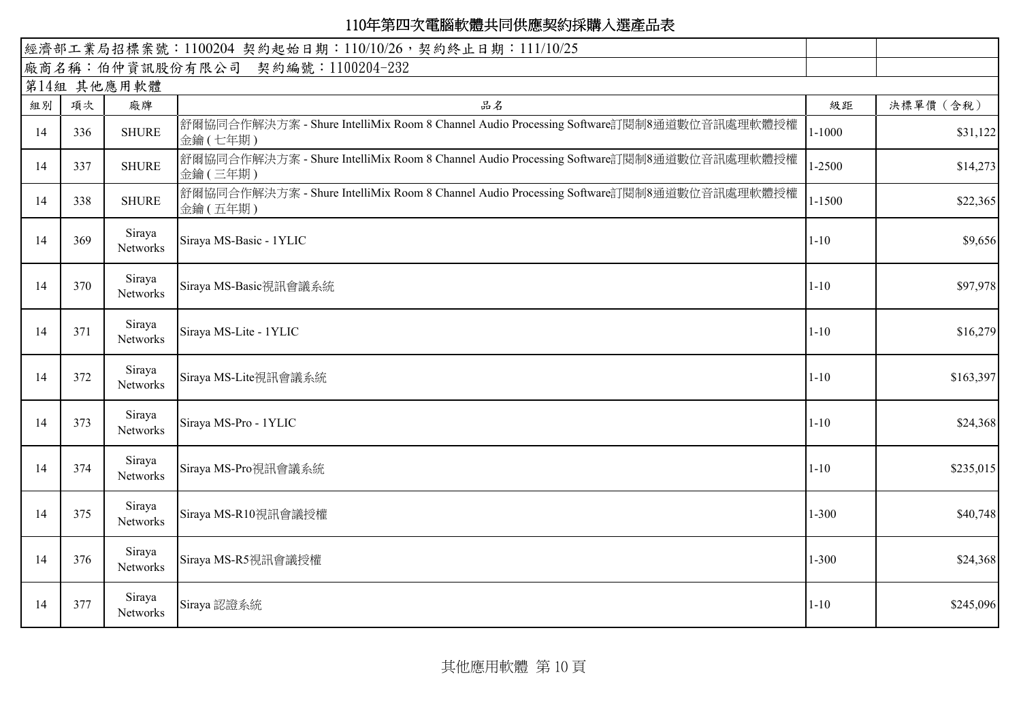| 經濟部工業局招標案號: 1100204 契約起始日期: 110/10/26, 契約終止日期: 111/10/25 |     |                    |                                                                                                   |            |           |  |  |  |
|----------------------------------------------------------|-----|--------------------|---------------------------------------------------------------------------------------------------|------------|-----------|--|--|--|
|                                                          |     |                    | 廠商名稱:伯仲資訊股份有限公司 契約編號:1100204-232                                                                  |            |           |  |  |  |
| 第14組 其他應用軟體                                              |     |                    |                                                                                                   |            |           |  |  |  |
| 組別                                                       | 項次  | 廠牌                 | 品名                                                                                                | 級距         | 決標單價 (含稅) |  |  |  |
| 14                                                       | 336 | <b>SHURE</b>       | 舒爾協同合作解決方案 - Shure IntelliMix Room 8 Channel Audio Processing Software訂閱制8通道數位音訊處理軟體授權<br>金鑰(七年期) | $1 - 1000$ | \$31,122  |  |  |  |
| 14                                                       | 337 | <b>SHURE</b>       | 舒爾協同合作解決方案 - Shure IntelliMix Room 8 Channel Audio Processing Software訂閱制8通道數位音訊處理軟體授權<br>金鑰(三年期) | 1-2500     | \$14,273  |  |  |  |
| 14                                                       | 338 | <b>SHURE</b>       | 舒爾協同合作解決方案 - Shure IntelliMix Room 8 Channel Audio Processing Software訂閱制8通道數位音訊處理軟體授權<br>金鑰(五年期) | $1 - 1500$ | \$22,365  |  |  |  |
| 14                                                       | 369 | Siraya<br>Networks | Siraya MS-Basic - 1YLIC                                                                           | $1 - 10$   | \$9,656   |  |  |  |
| 14                                                       | 370 | Siraya<br>Networks | Siraya MS-Basic視訊會議系統                                                                             | $1 - 10$   | \$97,978  |  |  |  |
| 14                                                       | 371 | Siraya<br>Networks | Siraya MS-Lite - 1YLIC                                                                            | $1 - 10$   | \$16,279  |  |  |  |
| 14                                                       | 372 | Siraya<br>Networks | Siraya MS-Lite視訊會議系統                                                                              | $1 - 10$   | \$163,397 |  |  |  |
| 14                                                       | 373 | Siraya<br>Networks | Siraya MS-Pro - 1YLIC                                                                             | $1 - 10$   | \$24,368  |  |  |  |
| 14                                                       | 374 | Siraya<br>Networks | Siraya MS-Pro視訊會議系統                                                                               | $1 - 10$   | \$235,015 |  |  |  |
| 14                                                       | 375 | Siraya<br>Networks | Siraya MS-R10視訊會議授權                                                                               | $1 - 300$  | \$40,748  |  |  |  |
| 14                                                       | 376 | Siraya<br>Networks | Siraya MS-R5視訊會議授權                                                                                | $1 - 300$  | \$24,368  |  |  |  |
| 14                                                       | 377 | Siraya<br>Networks | Siraya 認證系統                                                                                       | $1 - 10$   | \$245,096 |  |  |  |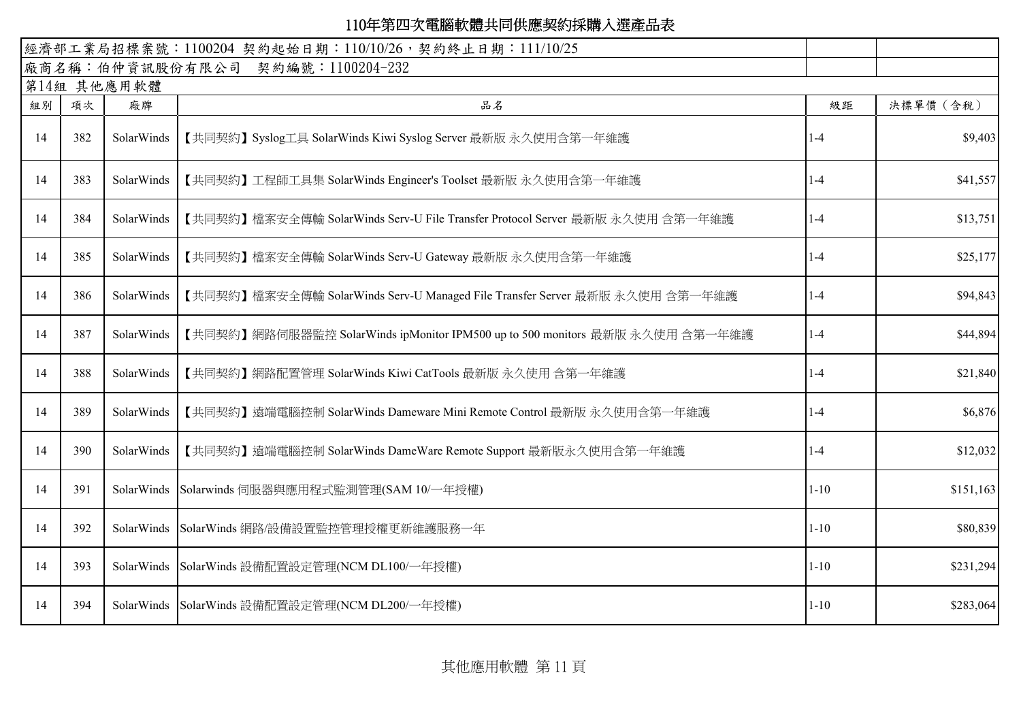| 經濟部工業局招標案號: 1100204 契約起始日期: 110/10/26, 契約終止日期: 111/10/25 |     |             |                                                                              |          |           |
|----------------------------------------------------------|-----|-------------|------------------------------------------------------------------------------|----------|-----------|
|                                                          |     |             | 廠商名稱:伯仲資訊股份有限公司 契約編號:1100204-232                                             |          |           |
|                                                          |     | 第14組 其他應用軟體 |                                                                              |          |           |
| 組別                                                       | 項次  | 廠牌          | 品名                                                                           | 級距       | 決標單價 (含稅) |
| 14                                                       | 382 | SolarWinds  | 【共同契約】Syslog工具 SolarWinds Kiwi Syslog Server 最新版 永久使用含第一年維護                  | $1-4$    | \$9,403   |
| 14                                                       | 383 | SolarWinds  | 【共同契約】工程師工具集 SolarWinds Engineer's Toolset 最新版 永久使用含第一年維護                    | $1-4$    | \$41,557  |
| 14                                                       | 384 | SolarWinds  | 【共同契約】檔案安全傳輸 SolarWinds Serv-U File Transfer Protocol Server 最新版 永久使用 含第一年維護 | $1 - 4$  | \$13,751  |
| 14                                                       | 385 | SolarWinds  | 【共同契約】檔案安全傳輸 SolarWinds Serv-U Gateway 最新版 永久使用含第一年維護                        | $1-4$    | \$25,177  |
| 14                                                       | 386 | SolarWinds  | 【共同契約】檔案安全傳輸 SolarWinds Serv-U Managed File Transfer Server 最新版 永久使用 含第一年維護  | $1-4$    | \$94,843  |
| 14                                                       | 387 | SolarWinds  | 【共同契約】網路伺服器監控 SolarWinds ipMonitor IPM500 up to 500 monitors 最新版 永久使用 含第一年維護 | $1-4$    | \$44,894  |
| 14                                                       | 388 | SolarWinds  | 【共同契約】網路配置管理 SolarWinds Kiwi CatTools 最新版 永久使用 含第一年維護                        | $1-4$    | \$21,840  |
| 14                                                       | 389 | SolarWinds  | 【共同契約】遠端電腦控制 SolarWinds Dameware Mini Remote Control 最新版 永久使用含第一年維護          | $1-4$    | \$6,876   |
| 14                                                       | 390 | SolarWinds  | 【共同契約】遠端電腦控制 SolarWinds DameWare Remote Support 最新版永久使用含第一年維護                | $1-4$    | \$12,032  |
| 14                                                       | 391 |             | SolarWinds Solarwinds 伺服器與應用程式監測管理(SAM 10/一年授權)                              | $1 - 10$ | \$151,163 |
| 14                                                       | 392 | SolarWinds  | SolarWinds 網路/設備設置監控管理授權更新維護服務一年                                             | $1 - 10$ | \$80,839  |
| 14                                                       | 393 | SolarWinds  | SolarWinds 設備配置設定管理(NCM DL100/一年授權)                                          | $1 - 10$ | \$231,294 |
| 14                                                       | 394 |             | SolarWinds SolarWinds 設備配置設定管理(NCM DL200/一年授權)                               | $1 - 10$ | \$283,064 |

其他應用軟體 第 11 頁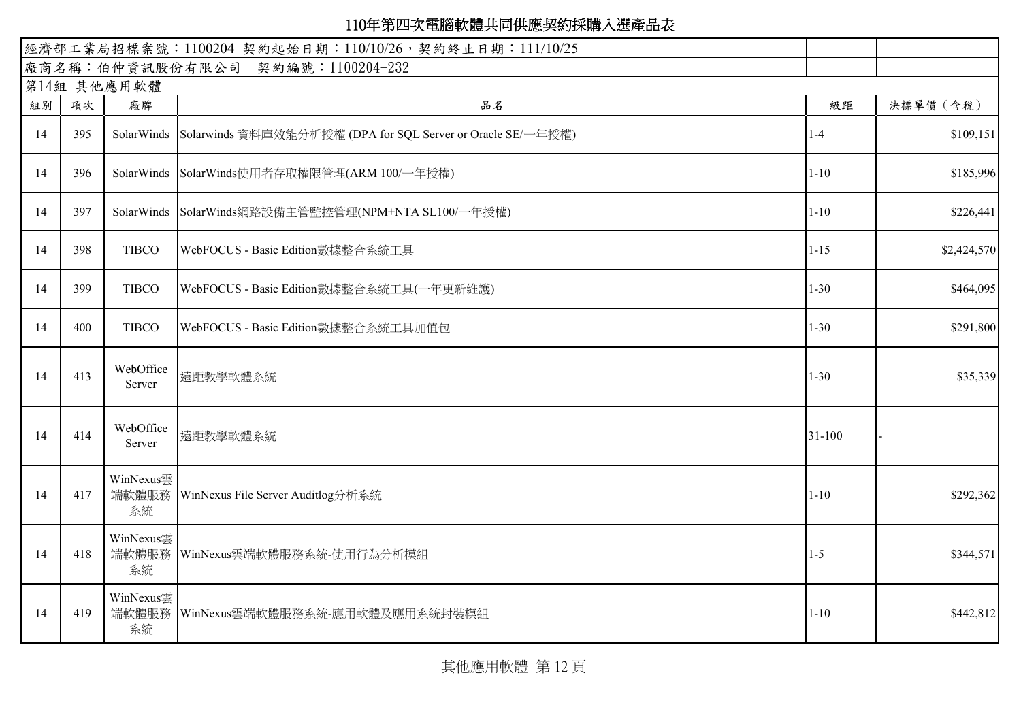|    | 經濟部工業局招標案號: 1100204 契約起始日期: 110/10/26, 契約終止日期: 111/10/25 |                          |                                                                        |            |             |  |  |  |  |  |  |
|----|----------------------------------------------------------|--------------------------|------------------------------------------------------------------------|------------|-------------|--|--|--|--|--|--|
|    |                                                          |                          | 廠商名稱:伯仲資訊股份有限公司 契約編號:1100204-232                                       |            |             |  |  |  |  |  |  |
|    | 第14組 其他應用軟體                                              |                          |                                                                        |            |             |  |  |  |  |  |  |
| 組別 | 項次                                                       | 廠牌                       | 品名                                                                     | 級距         | 決標單價 (含稅)   |  |  |  |  |  |  |
| 14 | 395                                                      |                          | SolarWinds Solarwinds 資料庫效能分析授權 (DPA for SQL Server or Oracle SE/一年授權) | $1-4$      | \$109,151   |  |  |  |  |  |  |
| 14 | 396                                                      |                          | SolarWinds SolarWinds使用者存取權限管理(ARM 100/一年授權)                           | $1 - 10$   | \$185,996   |  |  |  |  |  |  |
| 14 | 397                                                      |                          | SolarWinds SolarWinds網路設備主管監控管理(NPM+NTA SL100/一年授權)                    | $1 - 10$   | \$226,441   |  |  |  |  |  |  |
| 14 | 398                                                      | <b>TIBCO</b>             | WebFOCUS - Basic Edition數據整合系統工具                                       | $1 - 15$   | \$2,424,570 |  |  |  |  |  |  |
| 14 | 399                                                      | <b>TIBCO</b>             | WebFOCUS - Basic Edition數據整合系統工具(一年更新維護)                               | $1 - 30$   | \$464,095   |  |  |  |  |  |  |
| 14 | 400                                                      | <b>TIBCO</b>             | WebFOCUS - Basic Edition數據整合系統工具加值包                                    | $1 - 30$   | \$291,800   |  |  |  |  |  |  |
| 14 | 413                                                      | WebOffice<br>Server      | 遠距教學軟體系統                                                               | $1 - 30$   | \$35,339    |  |  |  |  |  |  |
| 14 | 414                                                      | WebOffice<br>Server      | 遠距教學軟體系統                                                               | $31 - 100$ |             |  |  |  |  |  |  |
| 14 | 417                                                      | WinNexus雲<br>系統          | 端軟體服務 WinNexus File Server Auditlog分析系統                                | $1 - 10$   | \$292,362   |  |  |  |  |  |  |
| 14 | 418                                                      | WinNexus雲<br>系統          | 端軟體服務 WinNexus雲端軟體服務系統-使用行為分析模組                                        | $1-5$      | \$344,571   |  |  |  |  |  |  |
| 14 | 419                                                      | WinNexus雲<br>端軟體服務<br>系統 | WinNexus雲端軟體服務系統-應用軟體及應用系統封裝模組                                         | $1 - 10$   | \$442,812   |  |  |  |  |  |  |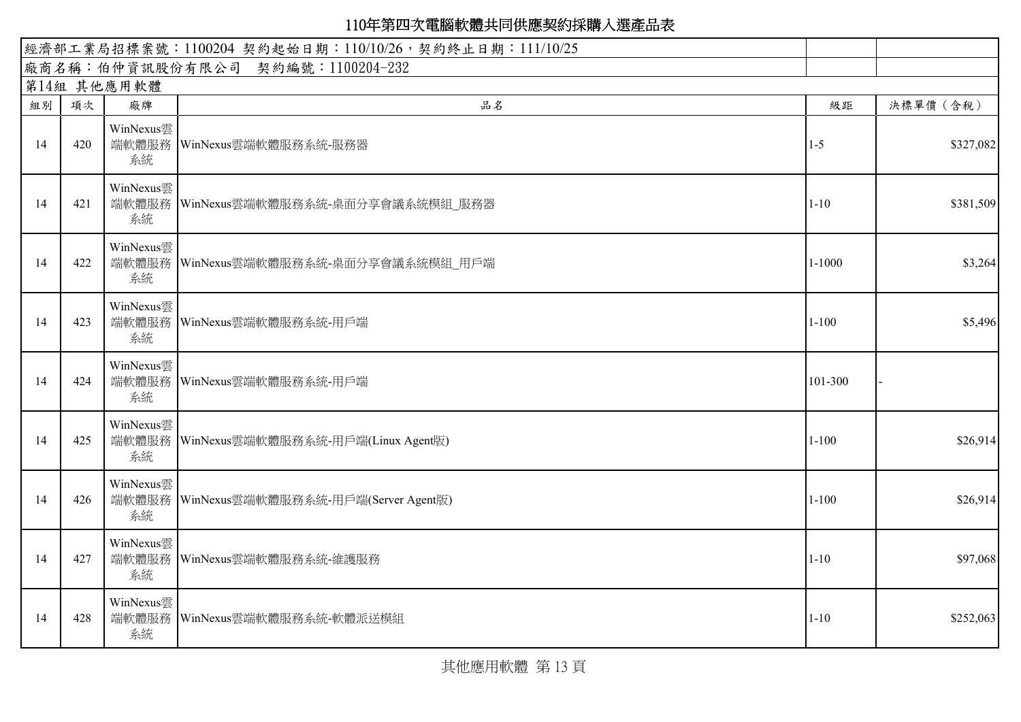| 經濟部工業局招標案號: 1100204 契約起始日期: 110/10/26, 契約終止日期: 111/10/25 |     |                 |                                             |            |           |
|----------------------------------------------------------|-----|-----------------|---------------------------------------------|------------|-----------|
|                                                          |     |                 | 廠商名稱:伯仲資訊股份有限公司 契約編號:1100204-232            |            |           |
|                                                          |     | 第14組 其他應用軟體     |                                             |            |           |
| 組別                                                       | 項次  | 廠牌              | 品名                                          | 級距         | 決標單價 (含稅) |
| 14                                                       | 420 | WinNexus雲<br>系統 | 端軟體服務 WinNexus雲端軟體服務系統-服務器                  | $1 - 5$    | \$327,082 |
| 14                                                       | 421 | WinNexus雲<br>系統 | 端軟體服務 WinNexus雲端軟體服務系統-桌面分享會議系統模組 服務器       | $1 - 10$   | \$381,509 |
| 14                                                       | 422 | WinNexus雲<br>系統 | 端軟體服務 WinNexus雲端軟體服務系統-桌面分享會議系統模組_用戶端       | $1 - 1000$ | \$3,264   |
| 14                                                       | 423 | WinNexus雲<br>系統 | 端軟體服務 WinNexus雲端軟體服務系統-用戶端                  | $1 - 100$  | \$5,496   |
| 14                                                       | 424 | WinNexus雲<br>系統 | 端軟體服務 WinNexus雲端軟體服務系統-用戶端                  | 101-300    |           |
| 14                                                       | 425 | WinNexus雲<br>系統 | 端軟體服務   WinNexus雲端軟體服務系統-用戶端(Linux Agent版)  | $1 - 100$  | \$26,914  |
| 14                                                       | 426 | WinNexus雲<br>系統 | 端軟體服務   WinNexus雲端軟體服務系統-用戶端(Server Agent版) | $1 - 100$  | \$26,914  |
| 14                                                       | 427 | WinNexus雲<br>系統 | 端軟體服務 WinNexus雲端軟體服務系統-維護服務                 | $1 - 10$   | \$97,068  |
| 14                                                       | 428 | WinNexus雲<br>系統 | 端軟體服務 WinNexus雲端軟體服務系統-軟體派送模組               | $1 - 10$   | \$252,063 |

其他應用軟體 第 13 頁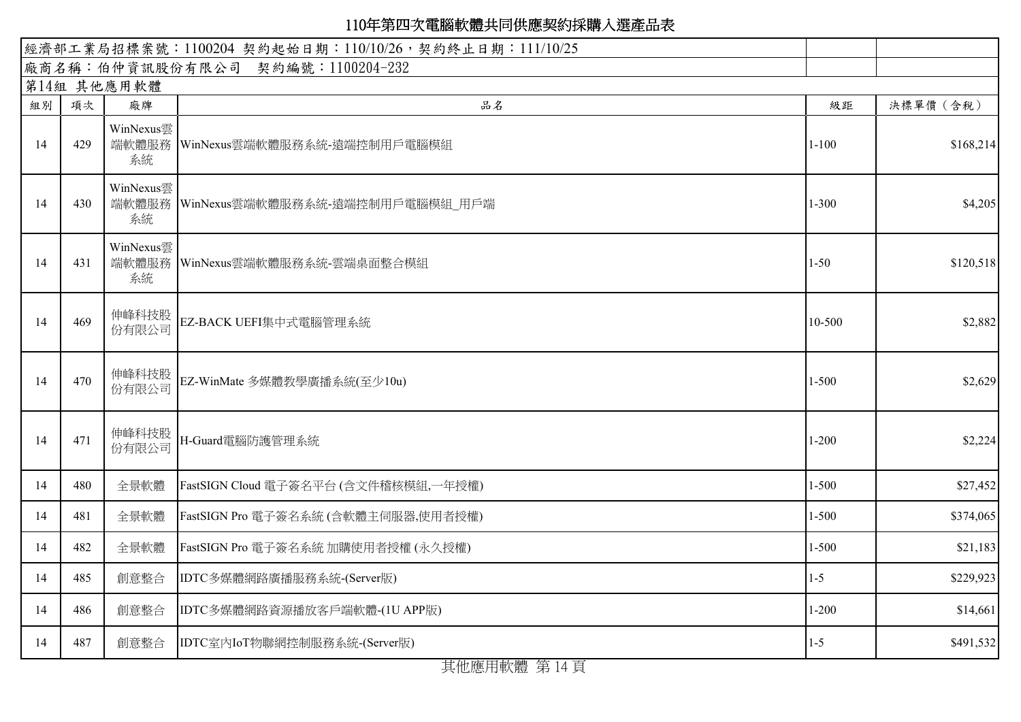|    | 經濟部工業局招標案號: 1100204 契約起始日期: 110/10/26, 契約終止日期: 111/10/25 |                 |                                         |           |           |  |  |
|----|----------------------------------------------------------|-----------------|-----------------------------------------|-----------|-----------|--|--|
|    |                                                          |                 | 廠商名稱:伯仲資訊股份有限公司 契約編號:1100204-232        |           |           |  |  |
|    |                                                          | 第14組 其他應用軟體     |                                         |           |           |  |  |
| 組別 | 項次                                                       | 廠牌              | 品名                                      | 級距        | 決標單價 (含稅) |  |  |
| 14 | 429                                                      | WinNexus雲<br>系統 | 端軟體服務   WinNexus雲端軟體服務系統-遠端控制用戶電腦模組     | $1 - 100$ | \$168,214 |  |  |
| 14 | 430                                                      | WinNexus雲<br>系統 | 端軟體服務   WinNexus雲端軟體服務系統-遠端控制用戶電腦模組_用戶端 | $1 - 300$ | \$4,205   |  |  |
| 14 | 431                                                      | WinNexus雲<br>系統 | 端軟體服務 WinNexus雲端軟體服務系統-雲端桌面整合模組         | $1 - 50$  | \$120,518 |  |  |
| 14 | 469                                                      | 伸峰科技股<br>份有限公司  | EZ-BACK UEFI集中式電腦管理系統                   | 10-500    | \$2,882   |  |  |
| 14 | 470                                                      | 伸峰科技股<br>份有限公司  | EZ-WinMate 多媒體教學廣播系統(至少10u)             | $1 - 500$ | \$2,629   |  |  |
| 14 | 471                                                      | 伸峰科技股<br>份有限公司  | H-Guard電腦防護管理系統                         | $1 - 200$ | \$2,224   |  |  |
| 14 | 480                                                      | 全景軟體            | FastSIGN Cloud 電子簽名平台 (含文件稽核模組,一年授權)    | $1 - 500$ | \$27,452  |  |  |
| 14 | 481                                                      | 全景軟體            | FastSIGN Pro 電子簽名系統 (含軟體主伺服器,使用者授權)     | $1 - 500$ | \$374,065 |  |  |
| 14 | 482                                                      | 全景軟體            | FastSIGN Pro 電子簽名系統 加購使用者授權 (永久授權)      | $1 - 500$ | \$21,183  |  |  |
| 14 | 485                                                      | 創意整合            | IDTC多媒體網路廣播服務系統-(Server版)               | $1 - 5$   | \$229,923 |  |  |
| 14 | 486                                                      | 創意整合            | IDTC多媒體網路資源播放客戶端軟體-(1U APP版)            | $1 - 200$ | \$14,661  |  |  |
| 14 | 487                                                      | 創意整合            | IDTC室內IoT物聯網控制服務系統-(Server版)            | $1 - 5$   | \$491,532 |  |  |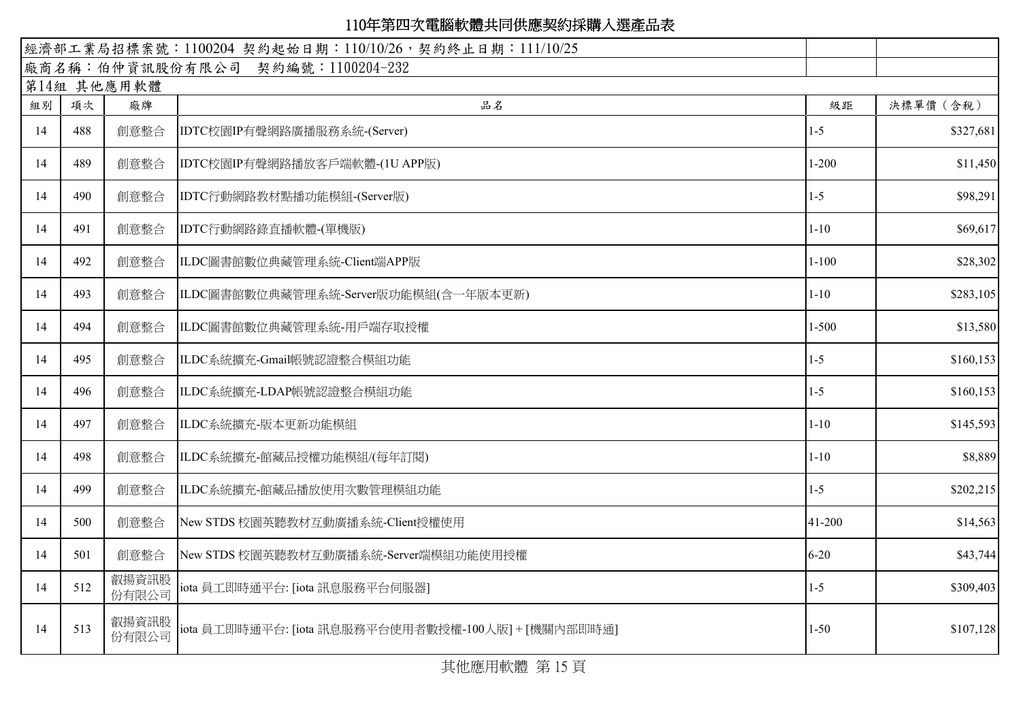| 經濟部工業局招標案號: 1100204 契約起始日期: 110/10/26, 契約終止日期: 111/10/25 |     |                |                                                     |           |            |
|----------------------------------------------------------|-----|----------------|-----------------------------------------------------|-----------|------------|
|                                                          |     |                | 廠商名稱:伯仲資訊股份有限公司 契約編號:1100204-232                    |           |            |
|                                                          |     | 第14組 其他應用軟體    |                                                     |           |            |
| 組別                                                       | 項次  | 廠牌             | 品名                                                  | 級距        | 決標單價 (含稅)  |
| 14                                                       | 488 | 創意整合           | IDTC校園IP有聲網路廣播服務系統-(Server)                         | $1 - 5$   | \$327,681  |
| 14                                                       | 489 | 創意整合           | IDTC校園IP有聲網路播放客戶端軟體-(1U APP版)                       | $1-200$   | \$11,450   |
| 14                                                       | 490 | 創意整合           | IDTC行動網路教材點播功能模組-(Server版)                          | $1 - 5$   | \$98,291   |
| 14                                                       | 491 | 創意整合           | IDTC行動網路錄直播軟體-(單機版)                                 | $1 - 10$  | \$69,617   |
| 14                                                       | 492 | 創意整合           | ILDC圖書館數位典藏管理系統-Client端APP版                         | $1 - 100$ | \$28,302   |
| 14                                                       | 493 | 創意整合           | ILDC圖書館數位典藏管理系統-Server版功能模組(含一年版本更新)                | $1 - 10$  | \$283,105  |
| 14                                                       | 494 | 創意整合           | ILDC圖書館數位典藏管理系統-用戶端存取授權                             | $1 - 500$ | \$13,580   |
| 14                                                       | 495 | 創意整合           | ILDC系統擴充-Gmail帳號認證整合模組功能                            | $1-5$     | \$160, 153 |
| 14                                                       | 496 | 創意整合           | ILDC系統擴充-LDAP帳號認證整合模組功能                             | $1 - 5$   | \$160, 153 |
| 14                                                       | 497 | 創意整合           | ILDC系統擴充-版本更新功能模組                                   | $1 - 10$  | \$145,593  |
| 14                                                       | 498 | 創意整合           | ILDC系統擴充-館藏品授權功能模組/(每年訂閱)                           | $1 - 10$  | \$8,889    |
| 14                                                       | 499 | 創意整合           | ILDC系統擴充-館藏品播放使用次數管理模組功能                            | $1 - 5$   | \$202,215  |
| 14                                                       | 500 | 創意整合           | New STDS 校園英聽教材互動廣播系統-Client授權使用                    | 41-200    | \$14,563   |
| 14                                                       | 501 | 創意整合           | New STDS 校園英聽教材互動廣播系統-Server端模組功能使用授權               | $6 - 20$  | \$43,744   |
| 14                                                       | 512 | 叡揚資訊股<br>份有限公司 | iota 員工即時通平台: [iota 訊息服務平台伺服器]                      | $1 - 5$   | \$309,403  |
| 14                                                       | 513 | 叡揚資訊股<br>份有限公司 | iota 員工即時通平台: [iota 訊息服務平台使用者數授權-100人版] + [機關內部即時通] | $1 - 50$  | \$107,128  |

其他應用軟體 第 15 頁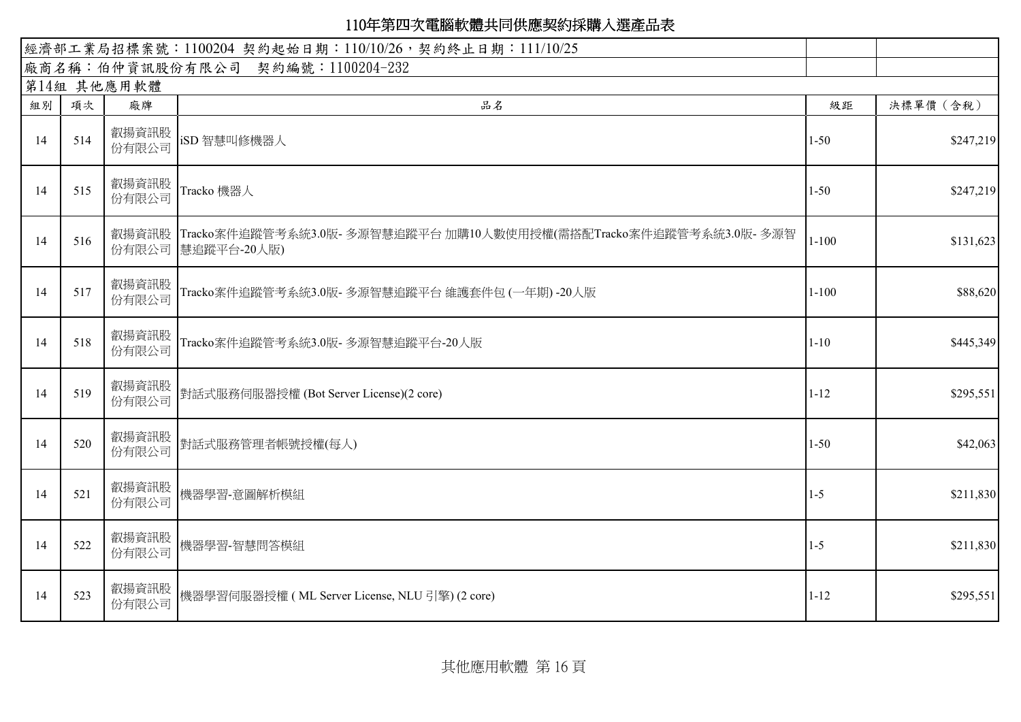|    |     | 經濟部工業局招標案號: 1100204 契約起始日期: 110/10/26, 契約終止日期: 111/10/25 |                                                                                                 |           |           |
|----|-----|----------------------------------------------------------|-------------------------------------------------------------------------------------------------|-----------|-----------|
|    |     |                                                          | 廠商名稱:伯仲資訊股份有限公司 契約編號:1100204-232                                                                |           |           |
|    |     | 第14組 其他應用軟體                                              |                                                                                                 |           |           |
| 組別 | 項次  | 廠牌                                                       | 品名                                                                                              | 級距        | 決標單價 (含稅) |
| 14 | 514 | 叡揚資訊股<br>份有限公司                                           | iSD 智慧叫修機器人                                                                                     | $1 - 50$  | \$247,219 |
| 14 | 515 | 叡揚資訊股<br>份有限公司                                           | Tracko 機器人                                                                                      | $1 - 50$  | \$247,219 |
| 14 | 516 |                                                          | 叡揚資訊股   Tracko案件追蹤管考系統3.0版- 多源智慧追蹤平台 加購10人數使用授權(需搭配Tracko案件追蹤管考系統3.0版- 多源智<br>份有限公司 慧追蹤平台-20人版) | $1 - 100$ | \$131,623 |
| 14 | 517 | 叡揚資訊股<br>份有限公司                                           | Tracko案件追蹤管考系統3.0版- 多源智慧追蹤平台 維護套件包 (一年期) -20人版                                                  | $1 - 100$ | \$88,620  |
| 14 | 518 | 叡揚資訊股<br>份有限公司                                           | Tracko案件追蹤管考系統3.0版-多源智慧追蹤平台-20人版                                                                | $1 - 10$  | \$445,349 |
| 14 | 519 |                                                          | 叡揚資訊股  <br>ハナ四八ヨ 對話式服務伺服器授權 (Bot Server License)(2 core)                                        | $1 - 12$  | \$295,551 |
| 14 | 520 | 叡揚資訊股<br>份有限公司                                           | 對話式服務管理者帳號授權(每人)                                                                                | $1 - 50$  | \$42,063  |
| 14 | 521 | 叡揚資訊股<br>份有限公司                                           | 機器學習-意圖解析模組                                                                                     | $1 - 5$   | \$211,830 |
| 14 | 522 | 叡揚資訊股<br>份有限公司                                           | 機器學習-智慧問答模組                                                                                     | $1 - 5$   | \$211,830 |
| 14 | 523 | 叡揚資訊股<br>份有限公司                                           | 機器學習伺服器授權 (ML Server License, NLU 引擎) (2 core)                                                  | $1 - 12$  | \$295,551 |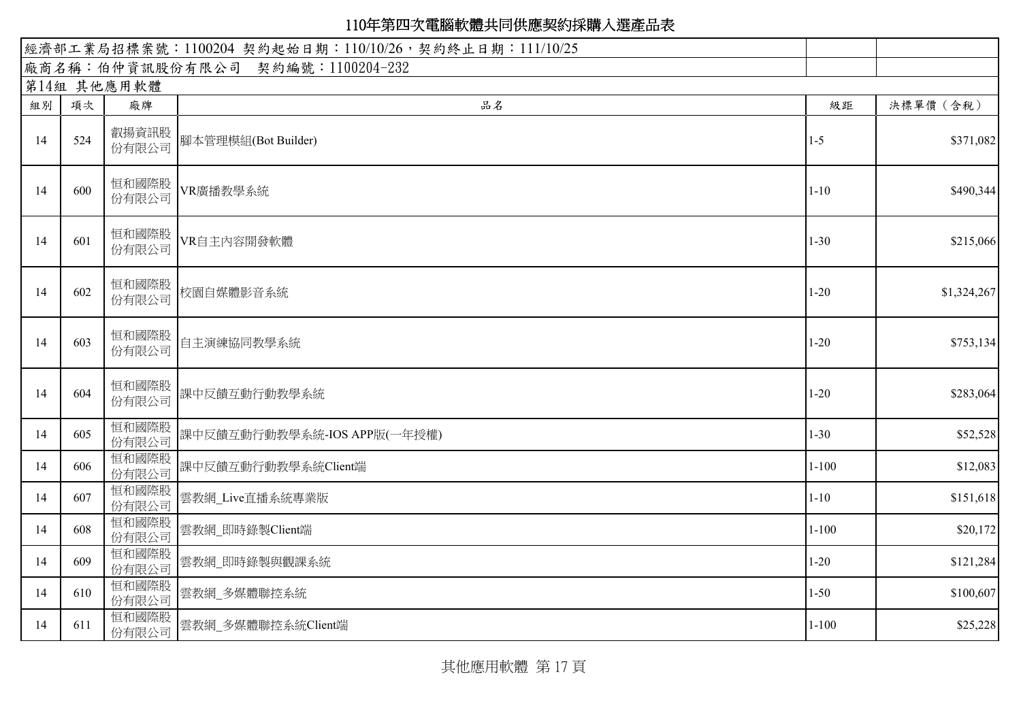|    | 經濟部工業局招標案號: 1100204 契約起始日期: 110/10/26, 契約終止日期: 111/10/25 |                |                                  |           |             |  |  |
|----|----------------------------------------------------------|----------------|----------------------------------|-----------|-------------|--|--|
|    |                                                          |                | 廠商名稱:伯仲資訊股份有限公司 契約編號:1100204-232 |           |             |  |  |
|    |                                                          | 第14組 其他應用軟體    |                                  |           |             |  |  |
| 組別 | 項次                                                       | 廠牌             | 品名                               | 級距        | 決標單價 (含稅)   |  |  |
| 14 | 524                                                      | 份有限公司          |                                  | $1-5$     | \$371,082   |  |  |
| 14 | 600                                                      | 恒和國際股<br>份有限公司 | VR廣播教學系統                         | $1 - 10$  | \$490,344   |  |  |
| 14 | 601                                                      | 恒和國際股<br>份有限公司 | VR自主内容開發軟體                       | $1 - 30$  | \$215,066   |  |  |
| 14 | 602                                                      | 恒和國際股<br>份有限公司 | 校園自媒體影音系統                        | $1 - 20$  | \$1,324,267 |  |  |
| 14 | 603                                                      | 恒和國際股<br>份有限公司 | 自主演練協同教學系統                       | $1 - 20$  | \$753,134   |  |  |
| 14 | 604                                                      | 恒和國際股<br>份有限公司 | 課中反饋互動行動教學系統                     | $1 - 20$  | \$283,064   |  |  |
| 14 | 605                                                      | 恒和國際股<br>份有限公司 | 課中反饋互動行動教學系統-IOS APP版(一年授權)      | $1 - 30$  | \$52,528    |  |  |
| 14 | 606                                                      | 恒和國際股<br>份有限公司 | 課中反饋互動行動教學系統Client端              | $1 - 100$ | \$12,083    |  |  |
| 14 | 607                                                      | 恒和國際股<br>份有限公司 | 雲教網_Live直播系統專業版                  | $1 - 10$  | \$151,618   |  |  |
| 14 | 608                                                      | 恒和國際股<br>份有限公司 | 雲教網 即時錄製Client端                  | $1 - 100$ | \$20,172    |  |  |
| 14 | 609                                                      | 恒和國際股<br>份有限公司 | 雲教網 即時錄製與觀課系統                    | $1 - 20$  | \$121,284   |  |  |
| 14 | 610                                                      | 恒和國際股<br>份有限公司 | 雲教網_多媒體聯控系統                      | $1 - 50$  | \$100,607   |  |  |
| 14 | 611                                                      | 恒和國際股<br>份有限公司 | 雲教網_多媒體聯控系統Client端               | $1 - 100$ | \$25,228    |  |  |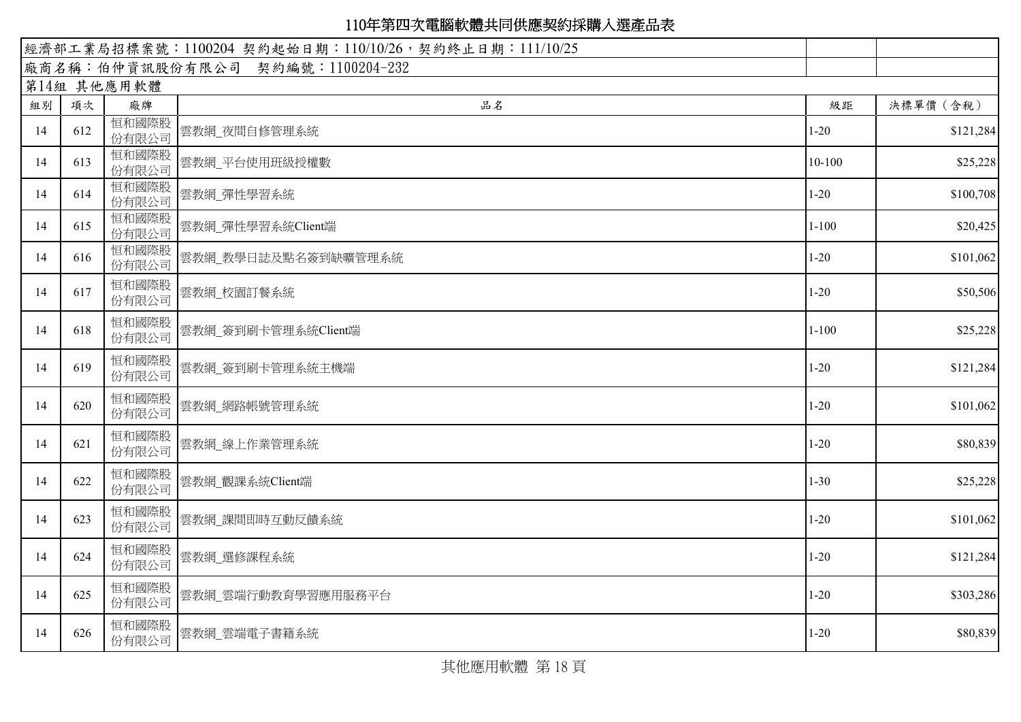| 經濟部工業局招標案號: 1100204 契約起始日期: 110/10/26, 契約終止日期: 111/10/25 |     |                |                                  |            |           |
|----------------------------------------------------------|-----|----------------|----------------------------------|------------|-----------|
|                                                          |     |                | 廠商名稱:伯仲資訊股份有限公司 契約編號:1100204-232 |            |           |
|                                                          |     | 第14組 其他應用軟體    |                                  |            |           |
| 組別                                                       | 項次  | 廠牌             | 品名                               | 級距         | 決標單價 (含稅) |
| 14                                                       | 612 | 恒和國際股<br>份有限公司 | 雲教網_夜間自修管理系統                     | $1-20$     | \$121,284 |
| 14                                                       | 613 | 恒和國際股<br>份有限公司 | 雲教網_平台使用班級授權數                    | $10 - 100$ | \$25,228  |
| 14                                                       | 614 | 恒和國際股<br>份有限公司 | 雲教網_彈性學習系統                       | $1 - 20$   | \$100,708 |
| 14                                                       | 615 | 恒和國際股<br>份有限公司 | 雲教網_彈性學習系統Client端                | $1 - 100$  | \$20,425  |
| 14                                                       | 616 | 恒和國際股<br>份有限公司 | 雲教網_教學日誌及點名簽到缺曠管理系統              | $1 - 20$   | \$101,062 |
| 14                                                       | 617 | 恒和國際股<br>份有限公司 | 雲教網_校園訂餐系統                       | $1 - 20$   | \$50,506  |
| 14                                                       | 618 | 恒和國際股<br>份有限公司 | 雲教網 簽到刷卡管理系統Client端              | $1 - 100$  | \$25,228  |
| 14                                                       | 619 | 恒和國際股<br>份有限公司 | 雲教網_簽到刷卡管理系統主機端                  | $1 - 20$   | \$121,284 |
| 14                                                       | 620 | 恒和國際股<br>份有限公司 | 雲教網_網路帳號管理系統                     | $1 - 20$   | \$101,062 |
| 14                                                       | 621 | 恒和國際股<br>份有限公司 | 雲教網 線上作業管理系統                     | $1 - 20$   | \$80,839  |
| 14                                                       | 622 | 恒和國際股<br>份有限公司 | 雲教網_觀課系統Client端                  | $1 - 30$   | \$25,228  |
| 14                                                       | 623 | 恒和國際股<br>份有限公司 | 雲教網 課間即時互動反饋系統                   | $1 - 20$   | \$101,062 |
| 14                                                       | 624 | 恒和國際股<br>份有限公司 | 雲教網 選修課程系統                       | $1 - 20$   | \$121,284 |
| 14                                                       | 625 | 恒和國際股<br>份有限公司 | 雲教網」雲端行動教育學習應用服務平台               | $1 - 20$   | \$303,286 |
| 14                                                       | 626 | 恒和國際股<br>份有限公司 | 雲教網」雲端電子書籍系統                     | $1 - 20$   | \$80,839  |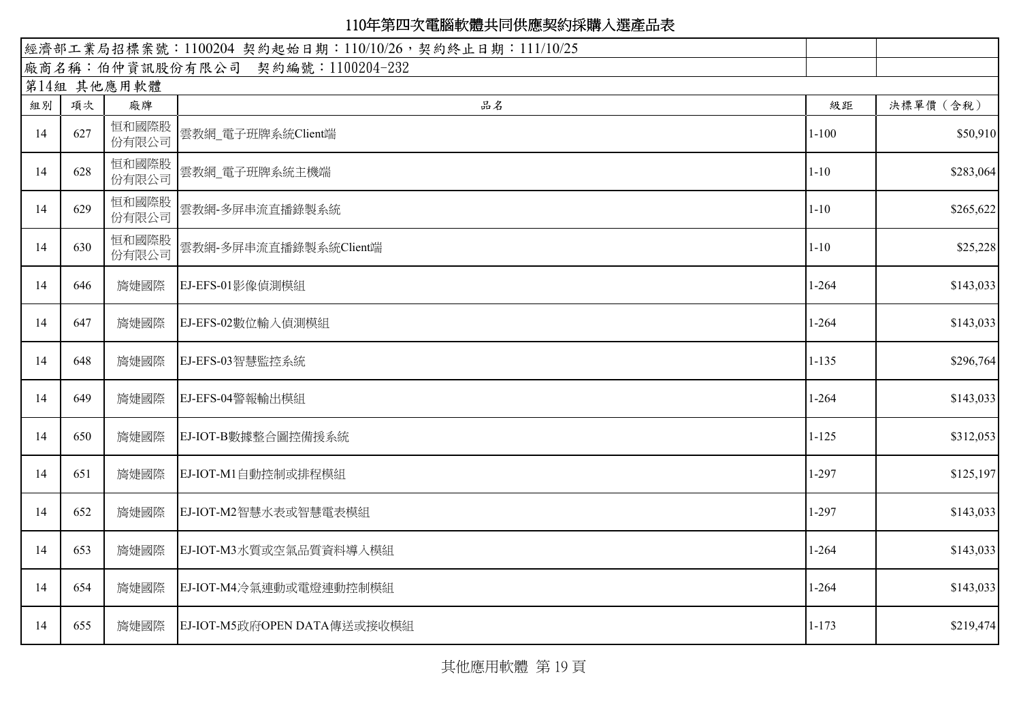| 經濟部工業局招標案號: 1100204 契約起始日期: 110/10/26, 契約終止日期: 111/10/25 |     |                |                                  |           |           |
|----------------------------------------------------------|-----|----------------|----------------------------------|-----------|-----------|
|                                                          |     |                | 廠商名稱:伯仲資訊股份有限公司 契約編號:1100204-232 |           |           |
|                                                          |     | 第14組 其他應用軟體    |                                  |           |           |
| 組別                                                       | 項次  | 廠牌             | 品名                               | 級距        | 決標單價 (含稅) |
| 14                                                       | 627 | 恒和國際股<br>份有限公司 | 雲教網_電子班牌系統Client端                | $1 - 100$ | \$50,910  |
| 14                                                       | 628 | 恒和國際股<br>份有限公司 | 雲教網 電子班牌系統主機端                    | $1 - 10$  | \$283,064 |
| 14                                                       | 629 | 恒和國際股<br>份有限公司 | 雲教網-多屏串流直播錄製系統                   | $1 - 10$  | \$265,622 |
| 14                                                       | 630 | 恒和國際股<br>份有限公司 | 雲教網-多屏串流直播錄製系統Client端            | $1 - 10$  | \$25,228  |
| 14                                                       | 646 | 旖婕國際           | EJ-EFS-01影像偵測模組                  | $1-264$   | \$143,033 |
| 14                                                       | 647 | 旖婕國際           | EJ-EFS-02數位輸入偵測模組                | $1 - 264$ | \$143,033 |
| 14                                                       | 648 | 旖婕國際           | EJ-EFS-03智慧監控系統                  | $1 - 135$ | \$296,764 |
| 14                                                       | 649 | 旖婕國際           | EJ-EFS-04警報輸出模組                  | $1 - 264$ | \$143,033 |
| 14                                                       | 650 | 旖婕國際           | EJ-IOT-B數據整合圖控備援系統               | $1 - 125$ | \$312,053 |
| 14                                                       | 651 | 旖婕國際           | EJ-IOT-M1自動控制或排程模組               | $1-297$   | \$125,197 |
| 14                                                       | 652 | 旖婕國際           | EJ-IOT-M2智慧水表或智慧電表模組             | $1-297$   | \$143,033 |
| 14                                                       | 653 | 旖婕國際           | EJ-IOT-M3水質或空氣品質資料導入模組           | $1 - 264$ | \$143,033 |
| 14                                                       | 654 | 旖婕國際           | EJ-IOT-M4冷氣連動或電燈連動控制模組           | $1 - 264$ | \$143,033 |
| 14                                                       | 655 | 旖婕國際           | EJ-IOT-M5政府OPEN DATA傳送或接收模組      | $1 - 173$ | \$219,474 |

其他應用軟體 第 19 頁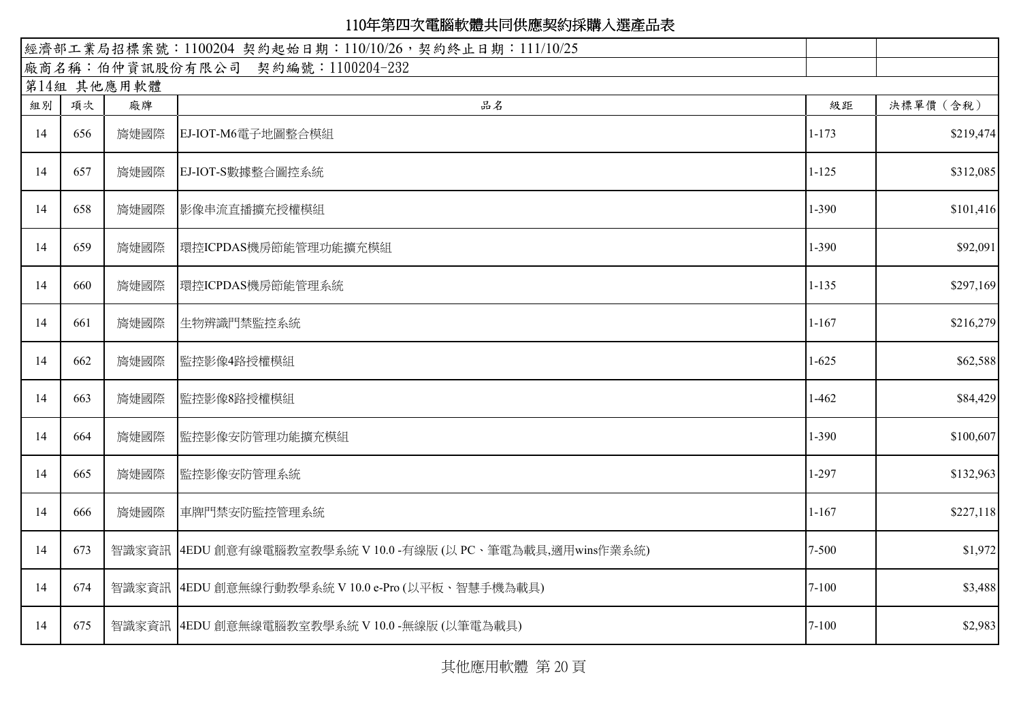| 經濟部工業局招標案號: 1100204 契約起始日期: 110/10/26, 契約終止日期: 111/10/25 |     |             |                                                               |           |           |
|----------------------------------------------------------|-----|-------------|---------------------------------------------------------------|-----------|-----------|
|                                                          |     |             | 廠商名稱:伯仲資訊股份有限公司 契約編號:1100204-232                              |           |           |
|                                                          |     | 第14組 其他應用軟體 |                                                               |           |           |
| 組別                                                       | 項次  | 廠牌          | 品名                                                            | 級距        | 決標單價 (含稅) |
| 14                                                       | 656 | 旖婕國際        | EJ-IOT-M6電子地圖整合模組                                             | $1 - 173$ | \$219,474 |
| 14                                                       | 657 | 旖婕國際        | EJ-IOT-S數據整合圖控系統                                              | $1 - 125$ | \$312,085 |
| 14                                                       | 658 | 旖婕國際        | 影像串流直播擴充授權模組                                                  | $1 - 390$ | \$101,416 |
| 14                                                       | 659 | 旖婕國際        | 環控ICPDAS機房節能管理功能擴充模組                                          | $1 - 390$ | \$92,091  |
| 14                                                       | 660 | 旖婕國際        | 環控ICPDAS機房節能管理系統                                              | $1 - 135$ | \$297,169 |
| 14                                                       | 661 | 旖婕國際        | 生物辨識門禁監控系統                                                    | $1 - 167$ | \$216,279 |
| 14                                                       | 662 | 旖婕國際        | 監控影像4路授權模組                                                    | $1-625$   | \$62,588  |
| 14                                                       | 663 | 旖婕國際        | 監控影像8路授權模組                                                    | $1-462$   | \$84,429  |
| 14                                                       | 664 | 旖婕國際        | 監控影像安防管理功能擴充模組                                                | 1-390     | \$100,607 |
| 14                                                       | 665 | 旖婕國際        | 監控影像安防管理系統                                                    | $1-297$   | \$132,963 |
| 14                                                       | 666 | 旖婕國際        | 車牌門禁安防監控管理系統                                                  | $1 - 167$ | \$227,118 |
| 14                                                       | 673 |             | 智識家資訊   4EDU 創意有線電腦教室教學系統 V 10.0 -有線版 (以 PC、筆電為載具,適用wins作業系統) | $7 - 500$ | \$1,972   |
| 14                                                       | 674 |             | 智識家資訊   4EDU 創意無線行動教學系統 V 10.0 e-Pro (以平板、智慧手機為載具)            | $7 - 100$ | \$3,488   |
| 14                                                       | 675 |             | 智識家資訊   4EDU 創意無線電腦教室教學系統 V 10.0 -無線版 (以筆電為載具)                | $7 - 100$ | \$2,983   |

其他應用軟體 第 20 頁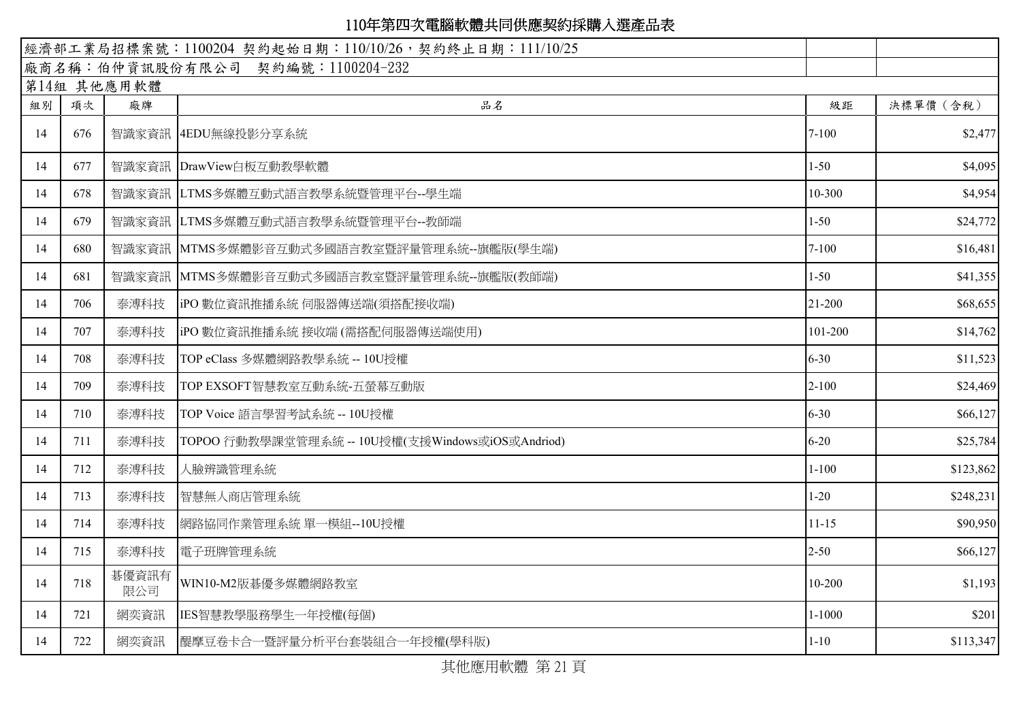| 經濟部工業局招標案號: 1100204 契約起始日期: 110/10/26, 契約終止日期: 111/10/25 |     |              |                                                  |            |           |
|----------------------------------------------------------|-----|--------------|--------------------------------------------------|------------|-----------|
|                                                          |     |              | 廠商名稱:伯仲資訊股份有限公司 契約編號:1100204-232                 |            |           |
|                                                          |     | 第14組 其他應用軟體  |                                                  |            |           |
| 組別                                                       | 項次  | 廠牌           | 品名                                               | 級距         | 決標單價 (含稅) |
| 14                                                       | 676 |              | 智識家資訊 4EDU無線投影分享系統                               | $7 - 100$  | \$2,477   |
| 14                                                       | 677 |              | 智識家資訊 DrawView白板互動教學軟體                           | $1 - 50$   | \$4,095   |
| 14                                                       | 678 |              | 智識家資訊 LTMS多媒體互動式語言教學系統暨管理平台--學生端                 | 10-300     | \$4,954   |
| 14                                                       | 679 |              | 智識家資訊 LTMS多媒體互動式語言教學系統暨管理平台--教師端                 | $1 - 50$   | \$24,772  |
| 14                                                       | 680 |              | 智識家資訊 MTMS多媒體影音互動式多國語言教室暨評量管理系統--旗艦版(學生端)        | $7 - 100$  | \$16,481  |
| 14                                                       | 681 |              | 智識家資訊 MTMS多媒體影音互動式多國語言教室暨評量管理系統--旗艦版(教師端)        | $1 - 50$   | \$41,355  |
| 14                                                       | 706 | 泰溥科技         | iPO 數位資訊推播系統 伺服器傳送端(須搭配接收端)                      | 21-200     | \$68,655  |
| 14                                                       | 707 | 泰溥科技         | iPO 數位資訊推播系統 接收端 (需搭配伺服器傳送端使用)                   | 101-200    | \$14,762  |
| 14                                                       | 708 | 泰溥科技         | TOP eClass 多媒體網路教學系統 -- 10U授權                    | $6 - 30$   | \$11,523  |
| 14                                                       | 709 | 泰溥科技         | TOP EXSOFT智慧教室互動系統-五螢幕互動版                        | $2 - 100$  | \$24,469  |
| 14                                                       | 710 | 泰溥科技         | TOP Voice 語言學習考試系統 -- 10U授權                      | $6 - 30$   | \$66,127  |
| 14                                                       | 711 | 泰溥科技         | TOPOO 行動教學課堂管理系統 -- 10U授權(支援Windows或iOS或Andriod) | $6 - 20$   | \$25,784  |
| 14                                                       | 712 | 泰溥科技         | 人臉辨識管理系統                                         | $1 - 100$  | \$123,862 |
| 14                                                       | 713 | 泰溥科技         | 智慧無人商店管理系統                                       | $1 - 20$   | \$248,231 |
| 14                                                       | 714 | 泰溥科技         | 網路協同作業管理系統 單一模組--10U授權                           | $11 - 15$  | \$90,950  |
| 14                                                       | 715 | 泰溥科技         | 電子班牌管理系統                                         | $2 - 50$   | \$66,127  |
| 14                                                       | 718 | 碁優資訊有<br>限公司 | WIN10-M2版碁優多媒體網路教室                               | 10-200     | \$1,193   |
| 14                                                       | 721 | 網奕資訊         | IES智慧教學服務學生一年授權(每個)                              | $1 - 1000$ | \$201     |
| 14                                                       | 722 | 網奕資訊         | 醍摩豆卷卡合一暨評量分析平台套裝組合一年授權(學科版)                      | $1 - 10$   | \$113,347 |